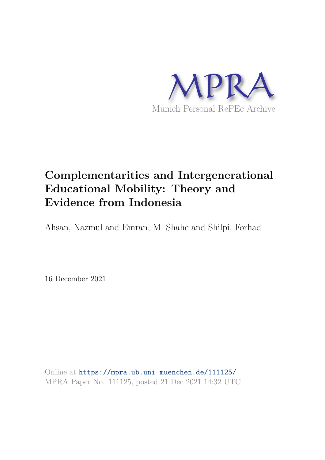

# **Complementarities and Intergenerational Educational Mobility: Theory and Evidence from Indonesia**

Ahsan, Nazmul and Emran, M. Shahe and Shilpi, Forhad

16 December 2021

Online at https://mpra.ub.uni-muenchen.de/111125/ MPRA Paper No. 111125, posted 21 Dec 2021 14:32 UTC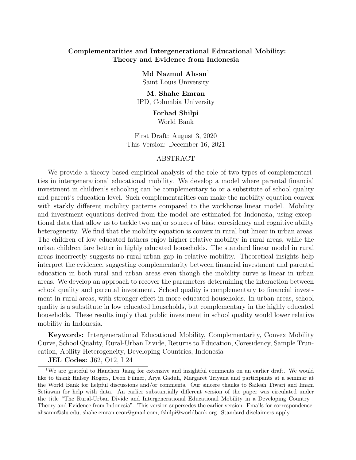## Complementarities and Intergenerational Educational Mobility: Theory and Evidence from Indonesia

 $Md$  Nazmul Ahsan<sup>1</sup> Saint Louis University

M. Shahe Emran IPD, Columbia University

> Forhad Shilpi World Bank

First Draft: August 3, 2020 This Version: December 16, 2021

#### ABSTRACT

We provide a theory based empirical analysis of the role of two types of complementarities in intergenerational educational mobility. We develop a model where parental financial investment in children's schooling can be complementary to or a substitute of school quality and parent's education level. Such complementarities can make the mobility equation convex with starkly different mobility patterns compared to the workhorse linear model. Mobility and investment equations derived from the model are estimated for Indonesia, using exceptional data that allow us to tackle two major sources of bias: coresidency and cognitive ability heterogeneity. We find that the mobility equation is convex in rural but linear in urban areas. The children of low educated fathers enjoy higher relative mobility in rural areas, while the urban children fare better in highly educated households. The standard linear model in rural areas incorrectly suggests no rural-urban gap in relative mobility. Theoretical insights help interpret the evidence, suggesting complementarity between financial investment and parental education in both rural and urban areas even though the mobility curve is linear in urban areas. We develop an approach to recover the parameters determining the interaction between school quality and parental investment. School quality is complementary to financial investment in rural areas, with stronger effect in more educated households. In urban areas, school quality is a substitute in low educated households, but complementary in the highly educated households. These results imply that public investment in school quality would lower relative mobility in Indonesia.

Keywords: Intergenerational Educational Mobility, Complementarity, Convex Mobility Curve, School Quality, Rural-Urban Divide, Returns to Education, Coresidency, Sample Truncation, Ability Heterogeneity, Developing Countries, Indonesia

JEL Codes: J62, O12, I 24

<sup>&</sup>lt;sup>1</sup>We are grateful to Hanchen Jiang for extensive and insightful comments on an earlier draft. We would like to thank Halsey Rogers, Deon Filmer, Arya Gaduh, Margaret Triyana and participants at a seminar at the World Bank for helpful discussions and/or comments. Our sincere thanks to Sailesh Tiwari and Imam Setiawan for help with data. An earlier substantially different version of the paper was circulated under the title "The Rural-Urban Divide and Intergenerational Educational Mobility in a Developing Country : Theory and Evidence from Indonesia". This version supersedes the earlier version. Emails for correspondence: ahsanm@slu.edu, shahe.emran.econ@gmail.com, fshilpi@worldbank.org. Standard disclaimers apply.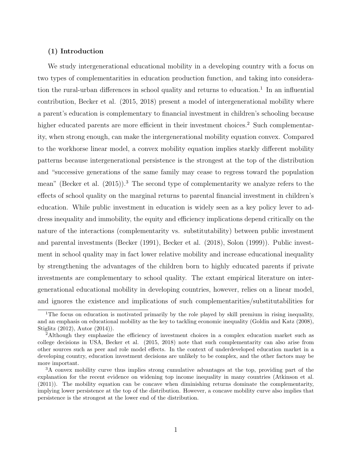## (1) Introduction

We study intergenerational educational mobility in a developing country with a focus on two types of complementarities in education production function, and taking into consideration the rural-urban differences in school quality and returns to education.<sup>1</sup> In an influential contribution, Becker et al. (2015, 2018) present a model of intergenerational mobility where a parent's education is complementary to financial investment in children's schooling because higher educated parents are more efficient in their investment choices.<sup>2</sup> Such complementarity, when strong enough, can make the intergenerational mobility equation convex. Compared to the workhorse linear model, a convex mobility equation implies starkly different mobility patterns because intergenerational persistence is the strongest at the top of the distribution and "successive generations of the same family may cease to regress toward the population mean" (Becker et al.  $(2015)$ ).<sup>3</sup> The second type of complementarity we analyze refers to the effects of school quality on the marginal returns to parental financial investment in children's education. While public investment in education is widely seen as a key policy lever to address inequality and immobility, the equity and efficiency implications depend critically on the nature of the interactions (complementarity vs. substitutability) between public investment and parental investments (Becker (1991), Becker et al. (2018), Solon (1999)). Public investment in school quality may in fact lower relative mobility and increase educational inequality by strengthening the advantages of the children born to highly educated parents if private investments are complementary to school quality. The extant empirical literature on intergenerational educational mobility in developing countries, however, relies on a linear model, and ignores the existence and implications of such complementarities/substitutabilities for

<sup>&</sup>lt;sup>1</sup>The focus on education is motivated primarily by the role played by skill premium in rising inequality, and an emphasis on educational mobility as the key to tackling economic inequality (Goldin and Katz (2008), Stiglitz (2012), Autor (2014)).

<sup>&</sup>lt;sup>2</sup>Although they emphasize the efficiency of investment choices in a complex education market such as college decisions in USA, Becker et al. (2015, 2018) note that such complementarity can also arise from other sources such as peer and role model effects. In the context of underdeveloped education market in a developing country, education investment decisions are unlikely to be complex, and the other factors may be more important.

<sup>3</sup>A convex mobility curve thus implies strong cumulative advantages at the top, providing part of the explanation for the recent evidence on widening top income inequality in many countries (Atkinson et al. (2011)). The mobility equation can be concave when diminishing returns dominate the complementarity, implying lower persistence at the top of the distribution. However, a concave mobility curve also implies that persistence is the strongest at the lower end of the distribution.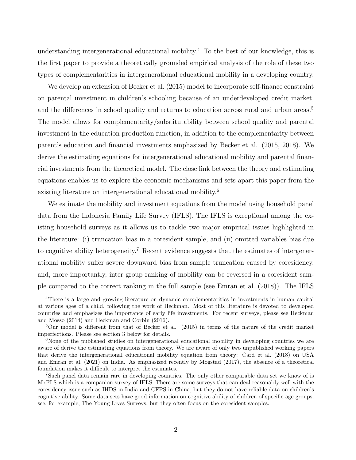understanding intergenerational educational mobility.<sup>4</sup> To the best of our knowledge, this is the first paper to provide a theoretically grounded empirical analysis of the role of these two types of complementarities in intergenerational educational mobility in a developing country.

We develop an extension of Becker et al.  $(2015)$  model to incorporate self-finance constraint on parental investment in children's schooling because of an underdeveloped credit market, and the differences in school quality and returns to education across rural and urban areas.<sup>5</sup> The model allows for complementarity/substitutability between school quality and parental investment in the education production function, in addition to the complementarity between parent's education and financial investments emphasized by Becker et al. (2015, 2018). We derive the estimating equations for intergenerational educational mobility and parental financial investments from the theoretical model. The close link between the theory and estimating equations enables us to explore the economic mechanisms and sets apart this paper from the existing literature on intergenerational educational mobility.<sup>6</sup>

We estimate the mobility and investment equations from the model using household panel data from the Indonesia Family Life Survey (IFLS). The IFLS is exceptional among the existing household surveys as it allows us to tackle two major empirical issues highlighted in the literature: (i) truncation bias in a coresident sample, and (ii) omitted variables bias due to cognitive ability heterogeneity.<sup>7</sup> Recent evidence suggests that the estimates of intergenerational mobility suffer severe downward bias from sample truncation caused by coresidency, and, more importantly, inter group ranking of mobility can be reversed in a coresident sample compared to the correct ranking in the full sample (see Emran et al. (2018)). The IFLS

<sup>4</sup>There is a large and growing literature on dynamic complementarities in investments in human capital at various ages of a child, following the work of Heckman. Most of this literature is devoted to developed countries and emphasizes the importance of early life investments. For recent surveys, please see Heckman and Mosso (2014) and Heckman and Corbin (2016).

<sup>5</sup>Our model is different from that of Becker et al. (2015) in terms of the nature of the credit market imperfections. Please see section 3 below for details.

<sup>&</sup>lt;sup>6</sup>None of the published studies on intergenerational educational mobility in developing countries we are aware of derive the estimating equations from theory. We are aware of only two unpublished working papers that derive the intergenerational educational mobility equation from theory: Card et al. (2018) on USA and Emran et al. (2021) on India. As emphasized recently by Mogstad (2017), the absence of a theoretical foundation makes it difficult to interpret the estimates.

<sup>7</sup>Such panel data remain rare in developing countries. The only other comparable data set we know of is MxFLS which is a companion survey of IFLS. There are some surveys that can deal reasonably well with the coresidency issue such as IHDS in India and CFPS in China, but they do not have reliable data on children's cognitive ability. Some data sets have good information on cognitive ability of children of specific age groups, see, for example, The Young Lives Surveys, but they often focus on the coresident samples.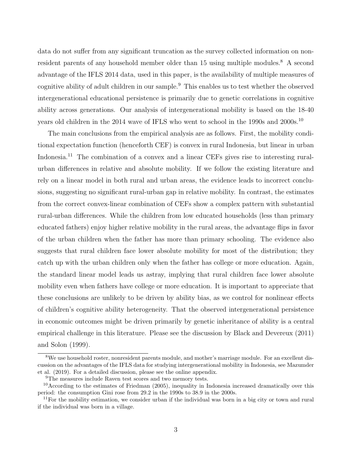data do not suffer from any significant truncation as the survey collected information on nonresident parents of any household member older than 15 using multiple modules.<sup>8</sup> A second advantage of the IFLS 2014 data, used in this paper, is the availability of multiple measures of cognitive ability of adult children in our sample.<sup>9</sup> This enables us to test whether the observed intergenerational educational persistence is primarily due to genetic correlations in cognitive ability across generations. Our analysis of intergenerational mobility is based on the 18-40 years old children in the 2014 wave of IFLS who went to school in the 1990s and 2000s.<sup>10</sup>

The main conclusions from the empirical analysis are as follows. First, the mobility conditional expectation function (henceforth CEF) is convex in rural Indonesia, but linear in urban Indonesia.<sup>11</sup> The combination of a convex and a linear CEFs gives rise to interesting ruralurban differences in relative and absolute mobility. If we follow the existing literature and rely on a linear model in both rural and urban areas, the evidence leads to incorrect conclusions, suggesting no significant rural-urban gap in relative mobility. In contrast, the estimates from the correct convex-linear combination of CEFs show a complex pattern with substantial rural-urban differences. While the children from low educated households (less than primary educated fathers) enjoy higher relative mobility in the rural areas, the advantage flips in favor of the urban children when the father has more than primary schooling. The evidence also suggests that rural children face lower absolute mobility for most of the distribution; they catch up with the urban children only when the father has college or more education. Again, the standard linear model leads us astray, implying that rural children face lower absolute mobility even when fathers have college or more education. It is important to appreciate that these conclusions are unlikely to be driven by ability bias, as we control for nonlinear effects of children's cognitive ability heterogeneity. That the observed intergenerational persistence in economic outcomes might be driven primarily by genetic inheritance of ability is a central empirical challenge in this literature. Please see the discussion by Black and Devereux (2011) and Solon (1999).

<sup>8</sup>We use household roster, nonresident parents module, and mother's marriage module. For an excellent discussion on the advantages of the IFLS data for studying intergenerational mobility in Indonesia, see Mazumder et al. (2019). For a detailed discussion, please see the online appendix.

<sup>9</sup>The measures include Raven test scores and two memory tests.

<sup>10</sup>According to the estimates of Friedman (2005), inequality in Indonesia increased dramatically over this period: the consumption Gini rose from 29.2 in the 1990s to 38.9 in the 2000s.

 $11$ For the mobility estimation, we consider urban if the individual was born in a big city or town and rural if the individual was born in a village.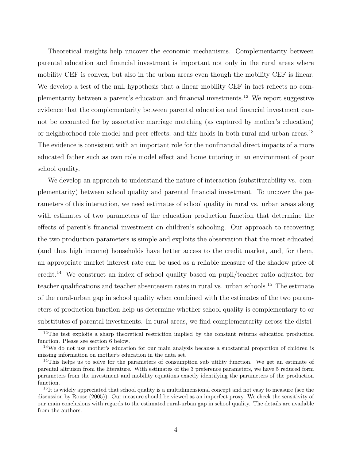Theoretical insights help uncover the economic mechanisms. Complementarity between parental education and financial investment is important not only in the rural areas where mobility CEF is convex, but also in the urban areas even though the mobility CEF is linear. We develop a test of the null hypothesis that a linear mobility CEF in fact reflects no complementarity between a parent's education and financial investments.<sup>12</sup> We report suggestive evidence that the complementarity between parental education and financial investment cannot be accounted for by assortative marriage matching (as captured by mother's education) or neighborhood role model and peer effects, and this holds in both rural and urban areas.<sup>13</sup> The evidence is consistent with an important role for the nonfinancial direct impacts of a more educated father such as own role model effect and home tutoring in an environment of poor school quality.

We develop an approach to understand the nature of interaction (substitutability vs. complementarity) between school quality and parental financial investment. To uncover the parameters of this interaction, we need estimates of school quality in rural vs. urban areas along with estimates of two parameters of the education production function that determine the effects of parent's financial investment on children's schooling. Our approach to recovering the two production parameters is simple and exploits the observation that the most educated (and thus high income) households have better access to the credit market, and, for them, an appropriate market interest rate can be used as a reliable measure of the shadow price of credit.<sup>14</sup> We construct an index of school quality based on pupil/teacher ratio adjusted for teacher qualifications and teacher absenteeism rates in rural vs. urban schools.<sup>15</sup> The estimate of the rural-urban gap in school quality when combined with the estimates of the two parameters of production function help us determine whether school quality is complementary to or substitutes of parental investments. In rural areas, we find complementarity across the distri-

<sup>&</sup>lt;sup>12</sup>The test exploits a sharp theoretical restriction implied by the constant returns education production function. Please see section 6 below.

<sup>&</sup>lt;sup>13</sup>We do not use mother's education for our main analysis because a substantial proportion of children is missing information on mother's education in the data set.

<sup>&</sup>lt;sup>14</sup>This helps us to solve for the parameters of consumption sub utility function. We get an estimate of parental altruism from the literature. With estimates of the 3 preference parameters, we have 5 reduced form parameters from the investment and mobility equations exactly identifying the parameters of the production function.

 $15$ It is widely appreciated that school quality is a multidimensional concept and not easy to measure (see the discussion by Rouse (2005)). Our measure should be viewed as an imperfect proxy. We check the sensitivity of our main conclusions with regards to the estimated rural-urban gap in school quality. The details are available from the authors.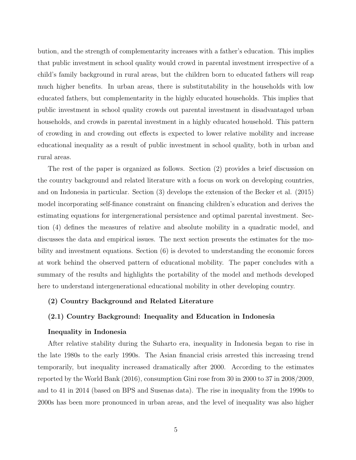bution, and the strength of complementarity increases with a father's education. This implies that public investment in school quality would crowd in parental investment irrespective of a child's family background in rural areas, but the children born to educated fathers will reap much higher benefits. In urban areas, there is substitutability in the households with low educated fathers, but complementarity in the highly educated households. This implies that public investment in school quality crowds out parental investment in disadvantaged urban households, and crowds in parental investment in a highly educated household. This pattern of crowding in and crowding out effects is expected to lower relative mobility and increase educational inequality as a result of public investment in school quality, both in urban and rural areas.

The rest of the paper is organized as follows. Section (2) provides a brief discussion on the country background and related literature with a focus on work on developing countries, and on Indonesia in particular. Section (3) develops the extension of the Becker et al. (2015) model incorporating self-finance constraint on financing children's education and derives the estimating equations for intergenerational persistence and optimal parental investment. Section (4) defines the measures of relative and absolute mobility in a quadratic model, and discusses the data and empirical issues. The next section presents the estimates for the mobility and investment equations. Section (6) is devoted to understanding the economic forces at work behind the observed pattern of educational mobility. The paper concludes with a summary of the results and highlights the portability of the model and methods developed here to understand intergenerational educational mobility in other developing country.

### (2) Country Background and Related Literature

#### (2.1) Country Background: Inequality and Education in Indonesia

#### Inequality in Indonesia

After relative stability during the Suharto era, inequality in Indonesia began to rise in the late 1980s to the early 1990s. The Asian financial crisis arrested this increasing trend temporarily, but inequality increased dramatically after 2000. According to the estimates reported by the World Bank (2016), consumption Gini rose from 30 in 2000 to 37 in 2008/2009, and to 41 in 2014 (based on BPS and Susenas data). The rise in inequality from the 1990s to 2000s has been more pronounced in urban areas, and the level of inequality was also higher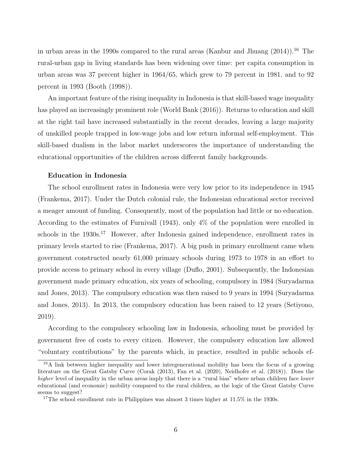in urban areas in the 1990s compared to the rural areas (Kanbur and Jhuang  $(2014)$ ).<sup>16</sup> The rural-urban gap in living standards has been widening over time: per capita consumption in urban areas was 37 percent higher in 1964/65, which grew to 79 percent in 1981, and to 92 percent in 1993 (Booth (1998)).

An important feature of the rising inequality in Indonesia is that skill-based wage inequality has played an increasingly prominent role (World Bank (2016)). Returns to education and skill at the right tail have increased substantially in the recent decades, leaving a large majority of unskilled people trapped in low-wage jobs and low return informal self-employment. This skill-based dualism in the labor market underscores the importance of understanding the educational opportunities of the children across different family backgrounds.

## Education in Indonesia

The school enrollment rates in Indonesia were very low prior to its independence in 1945 (Frankema, 2017). Under the Dutch colonial rule, the Indonesian educational sector received a meager amount of funding. Consequently, most of the population had little or no education. According to the estimates of Furnivall (1943), only 4% of the population were enrolled in schools in the 1930s.<sup>17</sup> However, after Indonesia gained independence, enrollment rates in primary levels started to rise (Frankema, 2017). A big push in primary enrollment came when government constructed nearly 61,000 primary schools during 1973 to 1978 in an effort to provide access to primary school in every village (Duflo, 2001). Subsequently, the Indonesian government made primary education, six years of schooling, compulsory in 1984 (Suryadarma and Jones, 2013). The compulsory education was then raised to 9 years in 1994 (Suryadarma and Jones, 2013). In 2013, the compulsory education has been raised to 12 years (Setiyono, 2019).

According to the compulsory schooling law in Indonesia, schooling must be provided by government free of costs to every citizen. However, the compulsory education law allowed "voluntary contributions" by the parents which, in practice, resulted in public schools ef-

<sup>16</sup>A link between higher inequality and lower intergenerational mobility has been the focus of a growing literature on the Great Gatsby Curve (Corak (2013), Fan et al. (2020), Neidhofer et al. (2018)). Does the higher level of inequality in the urban areas imply that there is a "rural bias" where urban children face lower educational (and economic) mobility compared to the rural children, as the logic of the Great Gatsby Curve seems to suggest?

<sup>&</sup>lt;sup>17</sup>The school enrollment rate in Philippines was almost 3 times higher at 11.5% in the 1930s.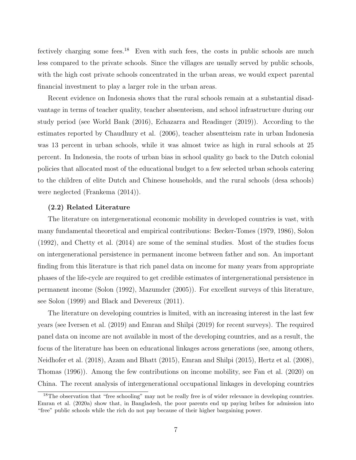fectively charging some fees.<sup>18</sup> Even with such fees, the costs in public schools are much less compared to the private schools. Since the villages are usually served by public schools, with the high cost private schools concentrated in the urban areas, we would expect parental financial investment to play a larger role in the urban areas.

Recent evidence on Indonesia shows that the rural schools remain at a substantial disadvantage in terms of teacher quality, teacher absenteeism, and school infrastructure during our study period (see World Bank (2016), Echazarra and Readinger (2019)). According to the estimates reported by Chaudhury et al. (2006), teacher absentteism rate in urban Indonesia was 13 percent in urban schools, while it was almost twice as high in rural schools at 25 percent. In Indonesia, the roots of urban bias in school quality go back to the Dutch colonial policies that allocated most of the educational budget to a few selected urban schools catering to the children of elite Dutch and Chinese households, and the rural schools (desa schools) were neglected (Frankema (2014)).

#### (2.2) Related Literature

The literature on intergenerational economic mobility in developed countries is vast, with many fundamental theoretical and empirical contributions: Becker-Tomes (1979, 1986), Solon (1992), and Chetty et al. (2014) are some of the seminal studies. Most of the studies focus on intergenerational persistence in permanent income between father and son. An important finding from this literature is that rich panel data on income for many years from appropriate phases of the life-cycle are required to get credible estimates of intergenerational persistence in permanent income (Solon (1992), Mazumder (2005)). For excellent surveys of this literature, see Solon (1999) and Black and Devereux (2011).

The literature on developing countries is limited, with an increasing interest in the last few years (see Iversen et al. (2019) and Emran and Shilpi (2019) for recent surveys). The required panel data on income are not available in most of the developing countries, and as a result, the focus of the literature has been on educational linkages across generations (see, among others, Neidhofer et al. (2018), Azam and Bhatt (2015), Emran and Shilpi (2015), Hertz et al. (2008), Thomas (1996)). Among the few contributions on income mobility, see Fan et al. (2020) on China. The recent analysis of intergenerational occupational linkages in developing countries

<sup>&</sup>lt;sup>18</sup>The observation that "free schooling" may not be really free is of wider relevance in developing countries. Emran et al. (2020a) show that, in Bangladesh, the poor parents end up paying bribes for admission into "free" public schools while the rich do not pay because of their higher bargaining power.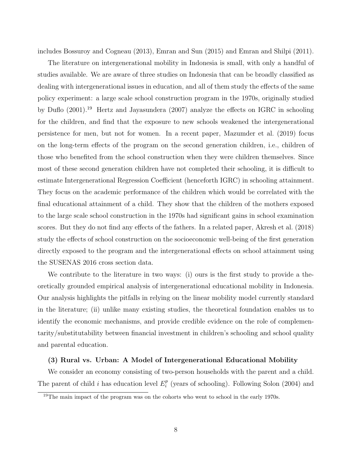includes Bossuroy and Cogneau (2013), Emran and Sun (2015) and Emran and Shilpi (2011).

The literature on intergenerational mobility in Indonesia is small, with only a handful of studies available. We are aware of three studies on Indonesia that can be broadly classified as dealing with intergenerational issues in education, and all of them study the effects of the same policy experiment: a large scale school construction program in the 1970s, originally studied by Duflo (2001).<sup>19</sup> Hertz and Jayasundera (2007) analyze the effects on IGRC in schooling for the children, and find that the exposure to new schools weakened the intergenerational persistence for men, but not for women. In a recent paper, Mazumder et al. (2019) focus on the long-term effects of the program on the second generation children, i.e., children of those who benefited from the school construction when they were children themselves. Since most of these second generation children have not completed their schooling, it is difficult to estimate Intergenerational Regression Coefficient (henceforth IGRC) in schooling attainment. They focus on the academic performance of the children which would be correlated with the final educational attainment of a child. They show that the children of the mothers exposed to the large scale school construction in the 1970s had significant gains in school examination scores. But they do not find any effects of the fathers. In a related paper, Akresh et al. (2018) study the effects of school construction on the socioeconomic well-being of the first generation directly exposed to the program and the intergenerational effects on school attainment using the SUSENAS 2016 cross section data.

We contribute to the literature in two ways: (i) ours is the first study to provide a theoretically grounded empirical analysis of intergenerational educational mobility in Indonesia. Our analysis highlights the pitfalls in relying on the linear mobility model currently standard in the literature; (ii) unlike many existing studies, the theoretical foundation enables us to identify the economic mechanisms, and provide credible evidence on the role of complementarity/substitutability between financial investment in children's schooling and school quality and parental education.

#### (3) Rural vs. Urban: A Model of Intergenerational Educational Mobility

We consider an economy consisting of two-person households with the parent and a child. The parent of child i has education level  $E_i^p$  $i$ <sup>p</sup> (years of schooling). Following Solon (2004) and

<sup>&</sup>lt;sup>19</sup>The main impact of the program was on the cohorts who went to school in the early 1970s.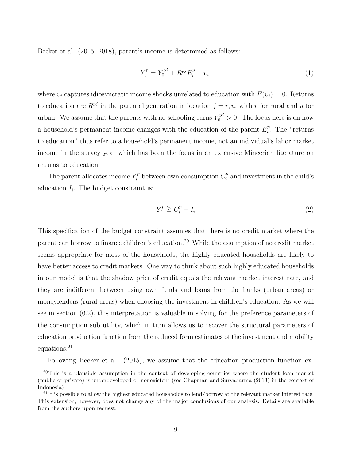Becker et al. (2015, 2018), parent's income is determined as follows:

$$
Y_i^p = Y_0^{pj} + R^{pj} E_i^p + v_i \tag{1}
$$

where  $v_i$  captures idiosyncratic income shocks unrelated to education with  $E(v_i) = 0$ . Returns to education are  $R^{pj}$  in the parental generation in location  $j = r, u$ , with r for rural and u for urban. We assume that the parents with no schooling earns  $Y_0^{pj} > 0$ . The focus here is on how a household's permanent income changes with the education of the parent  $E_i^p$  $i<sup>p</sup>$ . The "returns" to education" thus refer to a household's permanent income, not an individual's labor market income in the survey year which has been the focus in an extensive Mincerian literature on returns to education.

The parent allocates income  $Y_i^p$  between own consumption  $C_i^p$  $i<sup>p</sup>$  and investment in the child's education  $I_i$ . The budget constraint is:

$$
Y_i^p \ge C_i^p + I_i \tag{2}
$$

This specification of the budget constraint assumes that there is no credit market where the parent can borrow to finance children's education.<sup>20</sup> While the assumption of no credit market seems appropriate for most of the households, the highly educated households are likely to have better access to credit markets. One way to think about such highly educated households in our model is that the shadow price of credit equals the relevant market interest rate, and they are indifferent between using own funds and loans from the banks (urban areas) or moneylenders (rural areas) when choosing the investment in children's education. As we will see in section (6.2), this interpretation is valuable in solving for the preference parameters of the consumption sub utility, which in turn allows us to recover the structural parameters of education production function from the reduced form estimates of the investment and mobility equations.<sup>21</sup>

Following Becker et al. (2015), we assume that the education production function ex-

<sup>&</sup>lt;sup>20</sup>This is a plausible assumption in the context of developing countries where the student loan market (public or private) is underdeveloped or nonexistent (see Chapman and Suryadarma (2013) in the context of Indonesia).

 $^{21}$ It is possible to allow the highest educated households to lend/borrow at the relevant market interest rate. This extension, however, does not change any of the major conclusions of our analysis. Details are available from the authors upon request.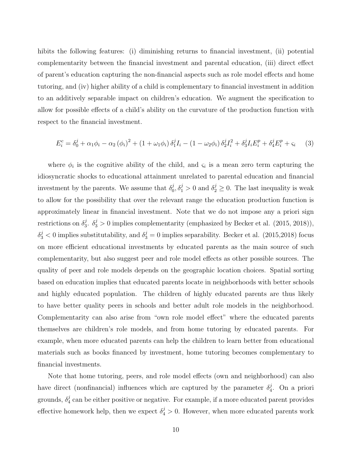hibits the following features: (i) diminishing returns to financial investment, (ii) potential complementarity between the financial investment and parental education, (iii) direct effect of parent's education capturing the non-financial aspects such as role model effects and home tutoring, and (iv) higher ability of a child is complementary to financial investment in addition to an additively separable impact on children's education. We augment the specification to allow for possible effects of a child's ability on the curvature of the production function with respect to the financial investment.

$$
E_i^c = \delta_0^j + \alpha_1 \phi_i - \alpha_2 (\phi_i)^2 + (1 + \omega_1 \phi_i) \delta_1^j I_i - (1 - \omega_2 \phi_i) \delta_2^j I_i^2 + \delta_3^j I_i E_i^p + \delta_4^j E_i^p + \varsigma_i \tag{3}
$$

where  $\phi_i$  is the cognitive ability of the child, and  $\varsigma_i$  is a mean zero term capturing the idiosyncratic shocks to educational attainment unrelated to parental education and financial investment by the parents. We assume that  $\delta_0^j$ ,  $\delta_1^j > 0$  and  $\delta_2^j \geq 0$ . The last inequality is weak to allow for the possibility that over the relevant range the education production function is approximately linear in financial investment. Note that we do not impose any a priori sign restrictions on  $\delta_3^j$ .  $\delta_3^j > 0$  implies complementarity (emphasized by Becker et al. (2015, 2018)),  $\delta_3^j < 0$  implies substitutability, and  $\delta_3^j = 0$  implies separability. Becker et al. (2015,2018) focus on more efficient educational investments by educated parents as the main source of such complementarity, but also suggest peer and role model effects as other possible sources. The quality of peer and role models depends on the geographic location choices. Spatial sorting based on education implies that educated parents locate in neighborhoods with better schools and highly educated population. The children of highly educated parents are thus likely to have better quality peers in schools and better adult role models in the neighborhood. Complementarity can also arise from "own role model effect" where the educated parents themselves are children's role models, and from home tutoring by educated parents. For example, when more educated parents can help the children to learn better from educational materials such as books financed by investment, home tutoring becomes complementary to financial investments.

Note that home tutoring, peers, and role model effects (own and neighborhood) can also have direct (nonfinancial) influences which are captured by the parameter  $\delta_4^j$ . On a priori grounds,  $\delta_4^j$  can be either positive or negative. For example, if a more educated parent provides effective homework help, then we expect  $\delta_4^j > 0$ . However, when more educated parents work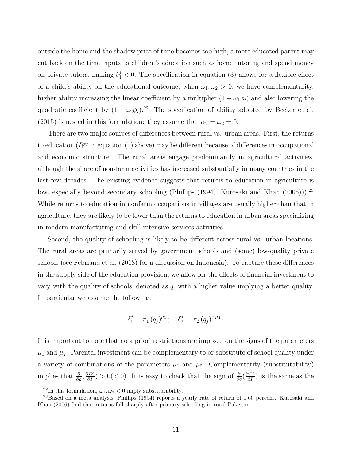outside the home and the shadow price of time becomes too high, a more educated parent may cut back on the time inputs to children's education such as home tutoring and spend money on private tutors, making  $\delta_4^j < 0$ . The specification in equation (3) allows for a flexible effect of a child's ability on the educational outcome; when  $\omega_1, \omega_2 > 0$ , we have complementarity, higher ability increasing the linear coefficient by a multiplier  $(1 + \omega_1 \phi_i)$  and also lowering the quadratic coefficient by  $(1 - \omega_2 \phi_i)^{2}$ . The specification of ability adopted by Becker et al. (2015) is nested in this formulation: they assume that  $\alpha_2 = \omega_2 = 0$ .

There are two major sources of differences between rural vs. urban areas. First, the returns to education  $(R^{pj})$  in equation (1) above) may be different because of differences in occupational and economic structure. The rural areas engage predominantly in agricultural activities, although the share of non-farm activities has increased substantially in many countries in the last few decades. The existing evidence suggests that returns to education in agriculture is low, especially beyond secondary schooling (Phillips (1994), Kurosaki and Khan (2006))).<sup>23</sup> While returns to education in nonfarm occupations in villages are usually higher than that in agriculture, they are likely to be lower than the returns to education in urban areas specializing in modern manufacturing and skill-intensive services activities.

Second, the quality of schooling is likely to be different across rural vs. urban locations. The rural areas are primarily served by government schools and (some) low-quality private schools (see Febriana et al. (2018) for a discussion on Indonesia). To capture these differences in the supply side of the education provision, we allow for the effects of financial investment to vary with the quality of schools, denoted as  $q$ , with a higher value implying a better quality. In particular we assume the following:

$$
\delta_1^j = \pi_1 (q_j)^{\mu_1}; \quad \delta_2^j = \pi_2 (q_j)^{-\mu_2}.
$$

It is important to note that no a priori restrictions are imposed on the signs of the parameters  $\mu_1$  and  $\mu_2$ . Parental investment can be complementary to or substitute of school quality under a variety of combinations of the parameters  $\mu_1$  and  $\mu_2$ . Complementarity (substitutability) implies that  $\frac{\partial}{\partial q}(\frac{\partial E^c}{\partial I}) > 0$  (< 0). It is easy to check that the sign of  $\frac{\partial}{\partial q}(\frac{\partial E^c}{\partial I})$  is the same as the

<sup>&</sup>lt;sup>22</sup>In this formulation,  $\omega_1, \omega_2 < 0$  imply substitutability.

 $^{23}$ Based on a meta analysis, Phillips (1994) reports a yearly rate of return of 1.60 percent. Kurosaki and Khan (2006) find that returns fall sharply after primary schooling in rural Pakistan.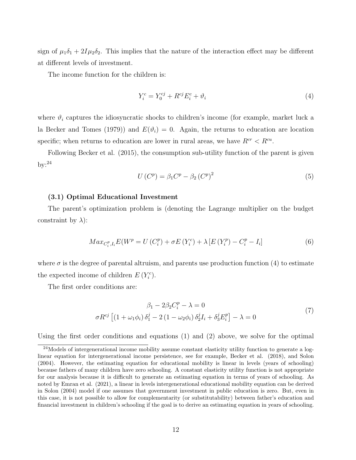sign of  $\mu_1\delta_1 + 2I\mu_2\delta_2$ . This implies that the nature of the interaction effect may be different at different levels of investment.

The income function for the children is:

$$
Y_i^c = Y_0^{cj} + R^{cj} E_i^c + \vartheta_i \tag{4}
$$

where  $\vartheta_i$  captures the idiosyncratic shocks to children's income (for example, market luck a la Becker and Tomes (1979)) and  $E(\vartheta_i) = 0$ . Again, the returns to education are location specific; when returns to education are lower in rural areas, we have  $R^{cr} < R^{cu}$ .

Following Becker et al. (2015), the consumption sub-utility function of the parent is given  $by: ^{24}$ 

$$
U(C^p) = \beta_1 C^p - \beta_2 (C^p)^2 \tag{5}
$$

#### (3.1) Optimal Educational Investment

The parent's optimization problem is (denoting the Lagrange multiplier on the budget constraint by  $\lambda$ :

$$
Max_{C_i^p, I_i} E(W^p = U(C_i^p) + \sigma E(Y_i^c) + \lambda [E(Y_i^p) - C_i^p - I_i]
$$
\n(6)

where  $\sigma$  is the degree of parental altruism, and parents use production function (4) to estimate the expected income of children  $E(Y_i^c)$ .

The first order conditions are:

$$
\beta_1 - 2\beta_2 C_i^p - \lambda = 0
$$
  
\n
$$
\sigma R^{cj} \left[ \left( 1 + \omega_1 \phi_i \right) \delta_1^j - 2 \left( 1 - \omega_2 \phi_i \right) \delta_2^j I_i + \delta_3^j E_i^p \right] - \lambda = 0
$$
\n(7)

Using the first order conditions and equations (1) and (2) above, we solve for the optimal

<sup>&</sup>lt;sup>24</sup>Models of intergenerational income mobility assume constant elasticity utility function to generate a loglinear equation for intergenerational income persistence, see for example, Becker et al. (2018), and Solon (2004). However, the estimating equation for educational mobility is linear in levels (years of schooling) because fathers of many children have zero schooling. A constant elasticity utility function is not appropriate for our analysis because it is difficult to generate an estimating equation in terms of years of schooling. As noted by Emran et al. (2021), a linear in levels intergenerational educational mobility equation can be derived in Solon (2004) model if one assumes that government investment in public education is zero. But, even in this case, it is not possible to allow for complementarity (or substitutability) between father's education and financial investment in children's schooling if the goal is to derive an estimating equation in years of schooling.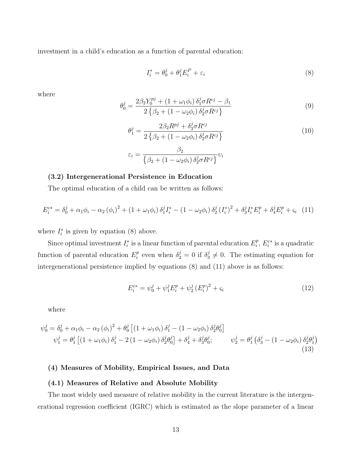investment in a child's education as a function of parental education:

$$
I_i^* = \theta_0^j + \theta_1^j E_i^P + \varepsilon_i \tag{8}
$$

where

$$
\theta_0^j = \frac{2\beta_2 Y_0^{pj} + (1 + \omega_1 \phi_i) \,\delta_1^j \sigma R^{cj} - \beta_1}{2 \left\{ \beta_2 + (1 - \omega_2 \phi_i) \,\delta_2^j \sigma R^{cj} \right\}} \tag{9}
$$

$$
\theta_1^j = \frac{2\beta_2 R^{pj} + \delta_3^j \sigma R^{cj}}{2\left\{\beta_2 + (1 - \omega_2 \phi_i) \delta_2^j \sigma R^{cj}\right\}}
$$
\n
$$
\varepsilon_i = \frac{\beta_2}{\left\{\beta_2 + (1 - \omega_2 \phi_i) \delta_2^j \sigma R^{cj}\right\}} \nu_i
$$
\n(10)

## (3.2) Intergenerational Persistence in Education

The optimal education of a child can be written as follows:

$$
E_i^{c*} = \delta_0^j + \alpha_1 \phi_i - \alpha_2 (\phi_i)^2 + (1 + \omega_1 \phi_i) \delta_1^j I_i^* - (1 - \omega_2 \phi_i) \delta_2^j (I_i^*)^2 + \delta_3^j I_i^* E_i^p + \delta_4^j E_i^p + \varsigma_i (11)
$$

where  $I_i^*$  $i$ <sup>\*</sup> is given by equation (8) above.

Since optimal investment  $I_i^*$  $i_i^*$  is a linear function of parental education  $E_i^p$  $i<sup>p</sup>$ ,  $E_i^{c*}$  is a quadratic function of parental education  $E_i^p$ <sup>p</sup> even when  $\delta_2^j = 0$  if  $\delta_3^j \neq 0$ . The estimating equation for intergenerational persistence implied by equations (8) and (11) above is as follows:

$$
E_i^{c*} = \psi_0^j + \psi_1^j E_i^p + \psi_2^j (E_i^p)^2 + \varsigma_i
$$
\n(12)

where

$$
\psi_0^j = \delta_0^j + \alpha_1 \phi_i - \alpha_2 (\phi_i)^2 + \theta_0^j \left[ (1 + \omega_1 \phi_i) \delta_1^j - (1 - \omega_2 \phi_i) \delta_2^j \theta_0^j \right] \n\psi_1^j = \theta_1^j \left[ (1 + \omega_1 \phi_i) \delta_1^j - 2 (1 - \omega_2 \phi_i) \delta_2^j \theta_0^j \right] + \delta_4^j + \delta_3^j \theta_0^j; \qquad \psi_2^j = \theta_1^j \left( \delta_3^j - (1 - \omega_2 \phi_i) \delta_2^j \theta_1^j \right)
$$
\n(13)

## (4) Measures of Mobility, Empirical Issues, and Data

#### (4.1) Measures of Relative and Absolute Mobility

The most widely used measure of relative mobility in the current literature is the intergenerational regression coefficient (IGRC) which is estimated as the slope parameter of a linear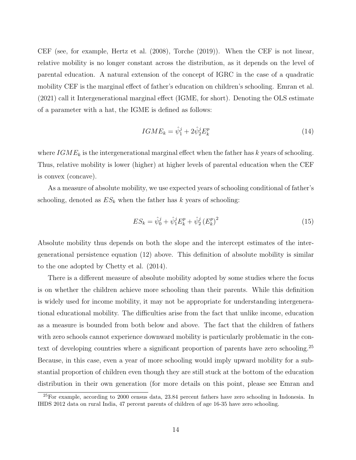CEF (see, for example, Hertz et al. (2008), Torche (2019)). When the CEF is not linear, relative mobility is no longer constant across the distribution, as it depends on the level of parental education. A natural extension of the concept of IGRC in the case of a quadratic mobility CEF is the marginal effect of father's education on children's schooling. Emran et al. (2021) call it Intergenerational marginal effect (IGME, for short). Denoting the OLS estimate of a parameter with a hat, the IGME is defined as follows:

$$
IGME_k = \hat{\psi}_1^j + 2\hat{\psi}_2^j E_k^p \tag{14}
$$

where  $IGME_k$  is the intergenerational marginal effect when the father has k years of schooling. Thus, relative mobility is lower (higher) at higher levels of parental education when the CEF is convex (concave).

As a measure of absolute mobility, we use expected years of schooling conditional of father's schooling, denoted as  $ES_k$  when the father has k years of schooling:

$$
ES_k = \hat{\psi}_0^j + \hat{\psi}_1^j E_k^p + \hat{\psi}_2^j (E_k^p)^2
$$
\n(15)

Absolute mobility thus depends on both the slope and the intercept estimates of the intergenerational persistence equation (12) above. This definition of absolute mobility is similar to the one adopted by Chetty et al. (2014).

There is a different measure of absolute mobility adopted by some studies where the focus is on whether the children achieve more schooling than their parents. While this definition is widely used for income mobility, it may not be appropriate for understanding intergenerational educational mobility. The difficulties arise from the fact that unlike income, education as a measure is bounded from both below and above. The fact that the children of fathers with zero schools cannot experience downward mobility is particularly problematic in the context of developing countries where a significant proportion of parents have zero schooling.<sup>25</sup> Because, in this case, even a year of more schooling would imply upward mobility for a substantial proportion of children even though they are still stuck at the bottom of the education distribution in their own generation (for more details on this point, please see Emran and

<sup>25</sup>For example, according to 2000 census data, 23.84 percent fathers have zero schooling in Indonesia. In IHDS 2012 data on rural India, 47 percent parents of children of age 16-35 have zero schooling.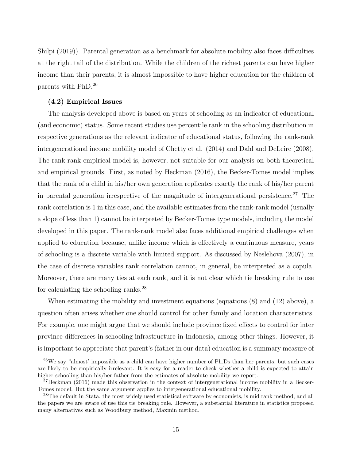Shilpi (2019)). Parental generation as a benchmark for absolute mobility also faces difficulties at the right tail of the distribution. While the children of the richest parents can have higher income than their parents, it is almost impossible to have higher education for the children of parents with PhD.<sup>26</sup>

## (4.2) Empirical Issues

The analysis developed above is based on years of schooling as an indicator of educational (and economic) status. Some recent studies use percentile rank in the schooling distribution in respective generations as the relevant indicator of educational status, following the rank-rank intergenerational income mobility model of Chetty et al. (2014) and Dahl and DeLeire (2008). The rank-rank empirical model is, however, not suitable for our analysis on both theoretical and empirical grounds. First, as noted by Heckman (2016), the Becker-Tomes model implies that the rank of a child in his/her own generation replicates exactly the rank of his/her parent in parental generation irrespective of the magnitude of intergenerational persistence.<sup>27</sup> The rank correlation is 1 in this case, and the available estimates from the rank-rank model (usually a slope of less than 1) cannot be interpreted by Becker-Tomes type models, including the model developed in this paper. The rank-rank model also faces additional empirical challenges when applied to education because, unlike income which is effectively a continuous measure, years of schooling is a discrete variable with limited support. As discussed by Neslehova (2007), in the case of discrete variables rank correlation cannot, in general, be interpreted as a copula. Moreover, there are many ties at each rank, and it is not clear which tie breaking rule to use for calculating the schooling ranks.<sup>28</sup>

When estimating the mobility and investment equations (equations (8) and (12) above), a question often arises whether one should control for other family and location characteristics. For example, one might argue that we should include province fixed effects to control for inter province differences in schooling infrastructure in Indonesia, among other things. However, it is important to appreciate that parent's (father in our data) education is a summary measure of

<sup>26</sup>We say "almost' impossible as a child can have higher number of Ph.Ds than her parents, but such cases are likely to be empirically irrelevant. It is easy for a reader to check whether a child is expected to attain higher schooling than his/her father from the estimates of absolute mobility we report.

<sup>27</sup>Heckman (2016) made this observation in the context of intergenerational income mobility in a Becker-Tomes model. But the same argument applies to intergenerational educational mobility.

<sup>&</sup>lt;sup>28</sup>The default in Stata, the most widely used statistical software by economists, is mid rank method, and all the papers we are aware of use this tie breaking rule. However, a substantial literature in statistics proposed many alternatives such as Woodbury method, Maxmin method.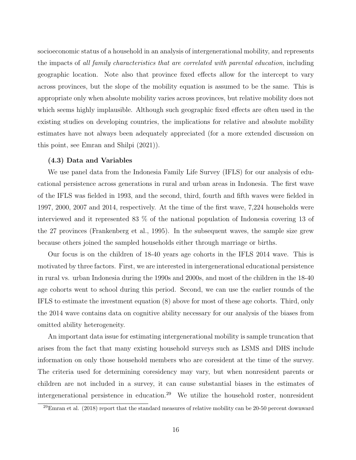socioeconomic status of a household in an analysis of intergenerational mobility, and represents the impacts of *all family characteristics that are correlated with parental education*, including geographic location. Note also that province fixed effects allow for the intercept to vary across provinces, but the slope of the mobility equation is assumed to be the same. This is appropriate only when absolute mobility varies across provinces, but relative mobility does not which seems highly implausible. Although such geographic fixed effects are often used in the existing studies on developing countries, the implications for relative and absolute mobility estimates have not always been adequately appreciated (for a more extended discussion on this point, see Emran and Shilpi (2021)).

#### (4.3) Data and Variables

We use panel data from the Indonesia Family Life Survey (IFLS) for our analysis of educational persistence across generations in rural and urban areas in Indonesia. The first wave of the IFLS was fielded in 1993, and the second, third, fourth and fifth waves were fielded in 1997, 2000, 2007 and 2014, respectively. At the time of the first wave, 7,224 households were interviewed and it represented 83 % of the national population of Indonesia covering 13 of the 27 provinces (Frankenberg et al., 1995). In the subsequent waves, the sample size grew because others joined the sampled households either through marriage or births.

Our focus is on the children of 18-40 years age cohorts in the IFLS 2014 wave. This is motivated by three factors. First, we are interested in intergenerational educational persistence in rural vs. urban Indonesia during the 1990s and 2000s, and most of the children in the 18-40 age cohorts went to school during this period. Second, we can use the earlier rounds of the IFLS to estimate the investment equation (8) above for most of these age cohorts. Third, only the 2014 wave contains data on cognitive ability necessary for our analysis of the biases from omitted ability heterogeneity.

An important data issue for estimating intergenerational mobility is sample truncation that arises from the fact that many existing household surveys such as LSMS and DHS include information on only those household members who are coresident at the time of the survey. The criteria used for determining coresidency may vary, but when nonresident parents or children are not included in a survey, it can cause substantial biases in the estimates of intergenerational persistence in education.<sup>29</sup> We utilize the household roster, nonresident

 $\frac{29}{2}$ Emran et al. (2018) report that the standard measures of relative mobility can be 20-50 percent downward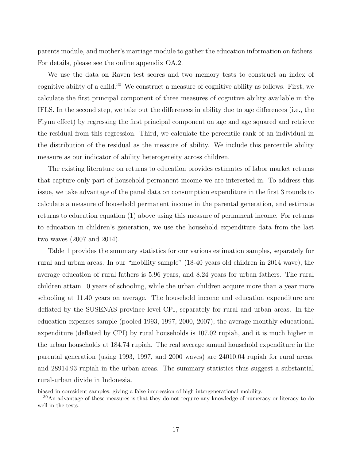parents module, and mother's marriage module to gather the education information on fathers. For details, please see the online appendix OA.2.

We use the data on Raven test scores and two memory tests to construct an index of cognitive ability of a child.<sup>30</sup> We construct a measure of cognitive ability as follows. First, we calculate the first principal component of three measures of cognitive ability available in the IFLS. In the second step, we take out the differences in ability due to age differences (i.e., the Flynn effect) by regressing the first principal component on age and age squared and retrieve the residual from this regression. Third, we calculate the percentile rank of an individual in the distribution of the residual as the measure of ability. We include this percentile ability measure as our indicator of ability heterogeneity across children.

The existing literature on returns to education provides estimates of labor market returns that capture only part of household permanent income we are interested in. To address this issue, we take advantage of the panel data on consumption expenditure in the first 3 rounds to calculate a measure of household permanent income in the parental generation, and estimate returns to education equation (1) above using this measure of permanent income. For returns to education in children's generation, we use the household expenditure data from the last two waves (2007 and 2014).

Table 1 provides the summary statistics for our various estimation samples, separately for rural and urban areas. In our "mobility sample" (18-40 years old children in 2014 wave), the average education of rural fathers is 5.96 years, and 8.24 years for urban fathers. The rural children attain 10 years of schooling, while the urban children acquire more than a year more schooling at 11.40 years on average. The household income and education expenditure are deflated by the SUSENAS province level CPI, separately for rural and urban areas. In the education expenses sample (pooled 1993, 1997, 2000, 2007), the average monthly educational expenditure (deflated by CPI) by rural households is 107.02 rupiah, and it is much higher in the urban households at 184.74 rupiah. The real average annual household expenditure in the parental generation (using 1993, 1997, and 2000 waves) are 24010.04 rupiah for rural areas, and 28914.93 rupiah in the urban areas. The summary statistics thus suggest a substantial rural-urban divide in Indonesia.

biased in coresident samples, giving a false impression of high intergenerational mobility.

<sup>30</sup>An advantage of these measures is that they do not require any knowledge of numeracy or literacy to do well in the tests.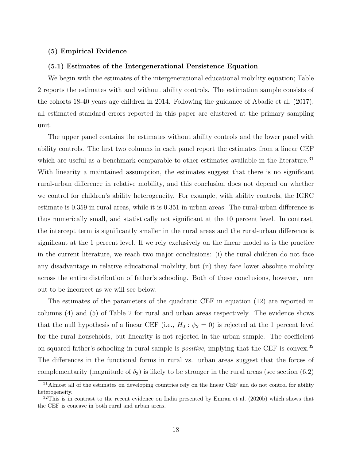#### (5) Empirical Evidence

## (5.1) Estimates of the Intergenerational Persistence Equation

We begin with the estimates of the intergenerational educational mobility equation; Table 2 reports the estimates with and without ability controls. The estimation sample consists of the cohorts 18-40 years age children in 2014. Following the guidance of Abadie et al. (2017), all estimated standard errors reported in this paper are clustered at the primary sampling unit.

The upper panel contains the estimates without ability controls and the lower panel with ability controls. The first two columns in each panel report the estimates from a linear CEF which are useful as a benchmark comparable to other estimates available in the literature.<sup>31</sup> With linearity a maintained assumption, the estimates suggest that there is no significant rural-urban difference in relative mobility, and this conclusion does not depend on whether we control for children's ability heterogeneity. For example, with ability controls, the IGRC estimate is 0.359 in rural areas, while it is 0.351 in urban areas. The rural-urban difference is thus numerically small, and statistically not significant at the 10 percent level. In contrast, the intercept term is significantly smaller in the rural areas and the rural-urban difference is significant at the 1 percent level. If we rely exclusively on the linear model as is the practice in the current literature, we reach two major conclusions: (i) the rural children do not face any disadvantage in relative educational mobility, but (ii) they face lower absolute mobility across the entire distribution of father's schooling. Both of these conclusions, however, turn out to be incorrect as we will see below.

The estimates of the parameters of the quadratic CEF in equation (12) are reported in columns (4) and (5) of Table 2 for rural and urban areas respectively. The evidence shows that the null hypothesis of a linear CEF (i.e.,  $H_0: \psi_2 = 0$ ) is rejected at the 1 percent level for the rural households, but linearity is not rejected in the urban sample. The coefficient on squared father's schooling in rural sample is *positive*, implying that the CEF is convex.<sup>32</sup> The differences in the functional forms in rural vs. urban areas suggest that the forces of complementarity (magnitude of  $\delta_3$ ) is likely to be stronger in the rural areas (see section (6.2)

<sup>&</sup>lt;sup>31</sup>Almost all of the estimates on developing countries rely on the linear CEF and do not control for ability heterogeneity.

<sup>&</sup>lt;sup>32</sup>This is in contrast to the recent evidence on India presented by Emran et al. (2020b) which shows that the CEF is concave in both rural and urban areas.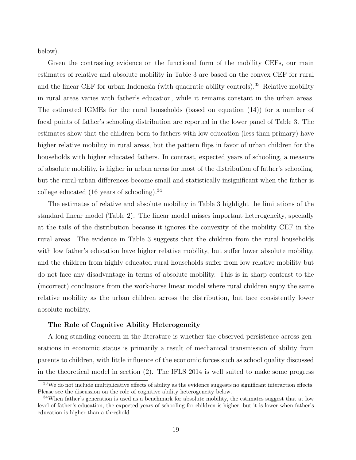below).

Given the contrasting evidence on the functional form of the mobility CEFs, our main estimates of relative and absolute mobility in Table 3 are based on the convex CEF for rural and the linear CEF for urban Indonesia (with quadratic ability controls).<sup>33</sup> Relative mobility in rural areas varies with father's education, while it remains constant in the urban areas. The estimated IGMEs for the rural households (based on equation (14)) for a number of focal points of father's schooling distribution are reported in the lower panel of Table 3. The estimates show that the children born to fathers with low education (less than primary) have higher relative mobility in rural areas, but the pattern flips in favor of urban children for the households with higher educated fathers. In contrast, expected years of schooling, a measure of absolute mobility, is higher in urban areas for most of the distribution of father's schooling, but the rural-urban differences become small and statistically insignificant when the father is college educated  $(16 \text{ years of schooling}).^{34}$ 

The estimates of relative and absolute mobility in Table 3 highlight the limitations of the standard linear model (Table 2). The linear model misses important heterogeneity, specially at the tails of the distribution because it ignores the convexity of the mobility CEF in the rural areas. The evidence in Table 3 suggests that the children from the rural households with low father's education have higher relative mobility, but suffer lower absolute mobility, and the children from highly educated rural households suffer from low relative mobility but do not face any disadvantage in terms of absolute mobility. This is in sharp contrast to the (incorrect) conclusions from the work-horse linear model where rural children enjoy the same relative mobility as the urban children across the distribution, but face consistently lower absolute mobility.

#### The Role of Cognitive Ability Heterogeneity

A long standing concern in the literature is whether the observed persistence across generations in economic status is primarily a result of mechanical transmission of ability from parents to children, with little influence of the economic forces such as school quality discussed in the theoretical model in section (2). The IFLS 2014 is well suited to make some progress

<sup>&</sup>lt;sup>33</sup>We do not include multiplicative effects of ability as the evidence suggests no significant interaction effects. Please see the discussion on the role of cognitive ability heterogeneity below.

<sup>&</sup>lt;sup>34</sup>When father's generation is used as a benchmark for absolute mobility, the estimates suggest that at low level of father's education, the expected years of schooling for children is higher, but it is lower when father's education is higher than a threshold.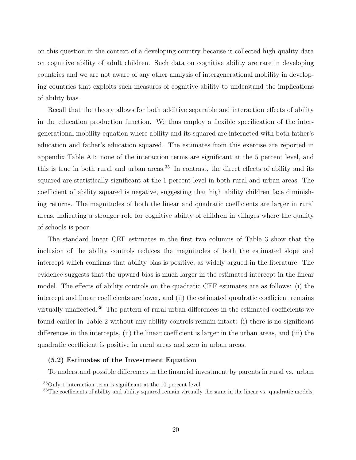on this question in the context of a developing country because it collected high quality data on cognitive ability of adult children. Such data on cognitive ability are rare in developing countries and we are not aware of any other analysis of intergenerational mobility in developing countries that exploits such measures of cognitive ability to understand the implications of ability bias.

Recall that the theory allows for both additive separable and interaction effects of ability in the education production function. We thus employ a flexible specification of the intergenerational mobility equation where ability and its squared are interacted with both father's education and father's education squared. The estimates from this exercise are reported in appendix Table A1: none of the interaction terms are significant at the 5 percent level, and this is true in both rural and urban areas.<sup>35</sup> In contrast, the direct effects of ability and its squared are statistically significant at the 1 percent level in both rural and urban areas. The coefficient of ability squared is negative, suggesting that high ability children face diminishing returns. The magnitudes of both the linear and quadratic coefficients are larger in rural areas, indicating a stronger role for cognitive ability of children in villages where the quality of schools is poor.

The standard linear CEF estimates in the first two columns of Table 3 show that the inclusion of the ability controls reduces the magnitudes of both the estimated slope and intercept which confirms that ability bias is positive, as widely argued in the literature. The evidence suggests that the upward bias is much larger in the estimated intercept in the linear model. The effects of ability controls on the quadratic CEF estimates are as follows: (i) the intercept and linear coefficients are lower, and (ii) the estimated quadratic coefficient remains virtually unaffected.<sup>36</sup> The pattern of rural-urban differences in the estimated coefficients we found earlier in Table 2 without any ability controls remain intact: (i) there is no significant differences in the intercepts, (ii) the linear coefficient is larger in the urban areas, and (iii) the quadratic coefficient is positive in rural areas and zero in urban areas.

### (5.2) Estimates of the Investment Equation

To understand possible differences in the financial investment by parents in rural vs. urban

<sup>35</sup>Only 1 interaction term is significant at the 10 percent level.

<sup>&</sup>lt;sup>36</sup>The coefficients of ability and ability squared remain virtually the same in the linear vs. quadratic models.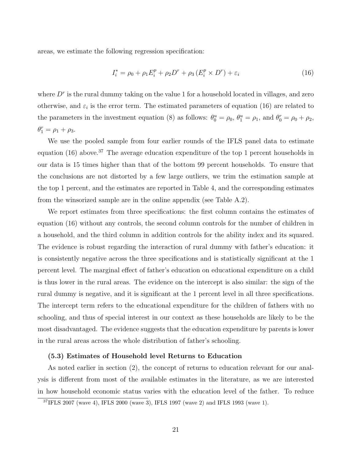areas, we estimate the following regression specification:

$$
I_i^* = \rho_0 + \rho_1 E_i^p + \rho_2 D^r + \rho_3 (E_i^p \times D^r) + \varepsilon_i
$$
 (16)

where  $D<sup>r</sup>$  is the rural dummy taking on the value 1 for a household located in villages, and zero otherwise, and  $\varepsilon_i$  is the error term. The estimated parameters of equation (16) are related to the parameters in the investment equation (8) as follows:  $\theta_0^u = \rho_0$ ,  $\theta_1^u = \rho_1$ , and  $\theta_0^r = \rho_0 + \rho_2$ ,  $\theta_1^r = \rho_1 + \rho_3.$ 

We use the pooled sample from four earlier rounds of the IFLS panel data to estimate equation (16) above.<sup>37</sup> The average education expenditure of the top 1 percent households in our data is 15 times higher than that of the bottom 99 percent households. To ensure that the conclusions are not distorted by a few large outliers, we trim the estimation sample at the top 1 percent, and the estimates are reported in Table 4, and the corresponding estimates from the winsorized sample are in the online appendix (see Table A.2).

We report estimates from three specifications: the first column contains the estimates of equation (16) without any controls, the second column controls for the number of children in a household, and the third column in addition controls for the ability index and its squared. The evidence is robust regarding the interaction of rural dummy with father's education: it is consistently negative across the three specifications and is statistically significant at the 1 percent level. The marginal effect of father's education on educational expenditure on a child is thus lower in the rural areas. The evidence on the intercept is also similar: the sign of the rural dummy is negative, and it is significant at the 1 percent level in all three specifications. The intercept term refers to the educational expenditure for the children of fathers with no schooling, and thus of special interest in our context as these households are likely to be the most disadvantaged. The evidence suggests that the education expenditure by parents is lower in the rural areas across the whole distribution of father's schooling.

## (5.3) Estimates of Household level Returns to Education

As noted earlier in section (2), the concept of returns to education relevant for our analysis is different from most of the available estimates in the literature, as we are interested in how household economic status varies with the education level of the father. To reduce

<sup>37</sup>IFLS 2007 (wave 4), IFLS 2000 (wave 3), IFLS 1997 (wave 2) and IFLS 1993 (wave 1).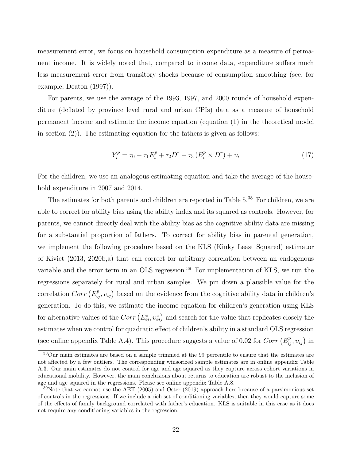measurement error, we focus on household consumption expenditure as a measure of permanent income. It is widely noted that, compared to income data, expenditure suffers much less measurement error from transitory shocks because of consumption smoothing (see, for example, Deaton (1997)).

For parents, we use the average of the 1993, 1997, and 2000 rounds of household expenditure (deflated by province level rural and urban CPIs) data as a measure of household permanent income and estimate the income equation (equation (1) in the theoretical model in section  $(2)$ ). The estimating equation for the fathers is given as follows:

$$
Y_i^p = \tau_0 + \tau_1 E_i^p + \tau_2 D^r + \tau_3 (E_i^p \times D^r) + v_i
$$
\n(17)

For the children, we use an analogous estimating equation and take the average of the household expenditure in 2007 and 2014.

The estimates for both parents and children are reported in Table 5.<sup>38</sup> For children, we are able to correct for ability bias using the ability index and its squared as controls. However, for parents, we cannot directly deal with the ability bias as the cognitive ability data are missing for a substantial proportion of fathers. To correct for ability bias in parental generation, we implement the following procedure based on the KLS (Kinky Least Squared) estimator of Kiviet (2013, 2020b,a) that can correct for arbitrary correlation between an endogenous variable and the error term in an OLS regression.<sup>39</sup> For implementation of KLS, we run the regressions separately for rural and urban samples. We pin down a plausible value for the correlation  $Corr(E_{ij}^p, v_{ij})$  based on the evidence from the cognitive ability data in children's generation. To do this, we estimate the income equation for children's generation using KLS for alternative values of the  $Corr\left(E_{ij}^c, v_{ij}^c\right)$  and search for the value that replicates closely the estimates when we control for quadratic effect of children's ability in a standard OLS regression (see online appendix Table A.4). This procedure suggests a value of 0.02 for  $Corr(E_{ij}^p, v_{ij})$  in

<sup>38</sup>Our main estimates are based on a sample trimmed at the 99 percentile to ensure that the estimates are not affected by a few outliers. The corresponding winsorized sample estimates are in online appendix Table A.3. Our main estimates do not control for age and age squared as they capture across cohort variations in educational mobility. However, the main conclusions about returns to education are robust to the inclusion of age and age squared in the regressions. Please see online appendix Table A.8.

 $39$ Note that we cannot use the AET (2005) and Oster (2019) approach here because of a parsimonious set of controls in the regressions. If we include a rich set of conditioning variables, then they would capture some of the effects of family background correlated with father's education. KLS is suitable in this case as it does not require any conditioning variables in the regression.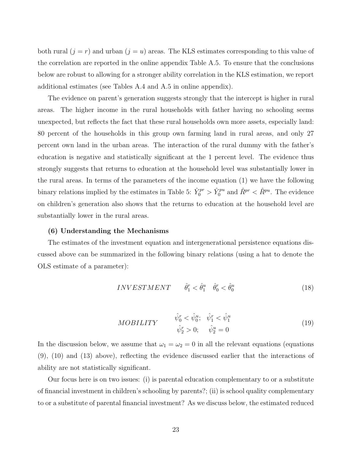both rural  $(j = r)$  and urban  $(j = u)$  areas. The KLS estimates corresponding to this value of the correlation are reported in the online appendix Table A.5. To ensure that the conclusions below are robust to allowing for a stronger ability correlation in the KLS estimation, we report additional estimates (see Tables A.4 and A.5 in online appendix).

The evidence on parent's generation suggests strongly that the intercept is higher in rural areas. The higher income in the rural households with father having no schooling seems unexpected, but reflects the fact that these rural households own more assets, especially land: 80 percent of the households in this group own farming land in rural areas, and only 27 percent own land in the urban areas. The interaction of the rural dummy with the father's education is negative and statistically significant at the 1 percent level. The evidence thus strongly suggests that returns to education at the household level was substantially lower in the rural areas. In terms of the parameters of the income equation (1) we have the following binary relations implied by the estimates in Table 5:  $\hat{Y}_0^{pr} > \hat{Y}_0^{pu}$  and  $\hat{R}^{pr} < \hat{R}^{pu}$ . The evidence on children's generation also shows that the returns to education at the household level are substantially lower in the rural areas.

#### (6) Understanding the Mechanisms

The estimates of the investment equation and intergenerational persistence equations discussed above can be summarized in the following binary relations (using a hat to denote the OLS estimate of a parameter):

$$
INVESTMENT \qquad \hat{\theta}_1^r < \hat{\theta}_1^u \quad \hat{\theta}_0^r < \hat{\theta}_0^u \tag{18}
$$

$$
MOBILITY \qquad \begin{aligned} \hat{\psi}_0^r &< \hat{\psi}_0^u; \quad \hat{\psi}_1^r < \hat{\psi}_1^u\\ \hat{\psi}_2^r &> 0; \quad \hat{\psi}_2^u &= 0 \end{aligned} \tag{19}
$$

In the discussion below, we assume that  $\omega_1 = \omega_2 = 0$  in all the relevant equations (equations (9), (10) and (13) above), reflecting the evidence discussed earlier that the interactions of ability are not statistically significant.

Our focus here is on two issues: (i) is parental education complementary to or a substitute of financial investment in children's schooling by parents?; (ii) is school quality complementary to or a substitute of parental financial investment? As we discuss below, the estimated reduced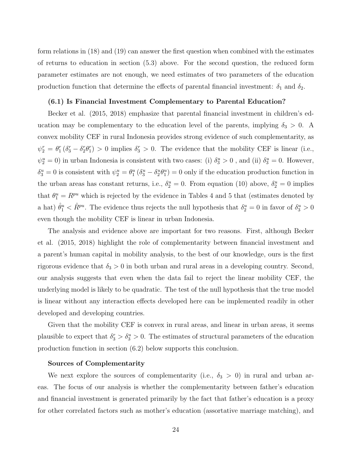form relations in (18) and (19) can answer the first question when combined with the estimates of returns to education in section (5.3) above. For the second question, the reduced form parameter estimates are not enough, we need estimates of two parameters of the education production function that determine the effects of parental financial investment:  $\delta_1$  and  $\delta_2$ .

## (6.1) Is Financial Investment Complementary to Parental Education?

Becker et al. (2015, 2018) emphasize that parental financial investment in children's education may be complementary to the education level of the parents, implying  $\delta_3 > 0$ . A convex mobility CEF in rural Indonesia provides strong evidence of such complementarity, as  $\psi_2^r = \theta_1^r (\delta_3^r - \delta_2^r \theta_1^r) > 0$  implies  $\delta_3^r > 0$ . The evidence that the mobility CEF is linear (i.e.,  $\psi_2^u = 0$ ) in urban Indonesia is consistent with two cases: (i)  $\delta_3^u > 0$ , and (ii)  $\delta_3^u = 0$ . However,  $\delta_3^u = 0$  is consistent with  $\psi_2^u = \theta_1^u (\delta_3^u - \delta_2^u \theta_1^u) = 0$  only if the education production function in the urban areas has constant returns, i.e.,  $\delta_2^u = 0$ . From equation (10) above,  $\delta_2^u = 0$  implies that  $\theta_1^u = R^{pu}$  which is rejected by the evidence in Tables 4 and 5 that (estimates denoted by a hat)  $\hat{\theta}^u_1 < \hat{R}^{pu}$ . The evidence thus rejects the null hypothesis that  $\delta^u_2 = 0$  in favor of  $\delta^u_3 > 0$ even though the mobility CEF is linear in urban Indonesia.

The analysis and evidence above are important for two reasons. First, although Becker et al. (2015, 2018) highlight the role of complementarity between financial investment and a parent's human capital in mobility analysis, to the best of our knowledge, ours is the first rigorous evidence that  $\delta_3 > 0$  in both urban and rural areas in a developing country. Second, our analysis suggests that even when the data fail to reject the linear mobility CEF, the underlying model is likely to be quadratic. The test of the null hypothesis that the true model is linear without any interaction effects developed here can be implemented readily in other developed and developing countries.

Given that the mobility CEF is convex in rural areas, and linear in urban areas, it seems plausible to expect that  $\delta_3^r > \delta_3^u > 0$ . The estimates of structural parameters of the education production function in section (6.2) below supports this conclusion.

#### Sources of Complementarity

We next explore the sources of complementarity (i.e.,  $\delta_3 > 0$ ) in rural and urban areas. The focus of our analysis is whether the complementarity between father's education and financial investment is generated primarily by the fact that father's education is a proxy for other correlated factors such as mother's education (assortative marriage matching), and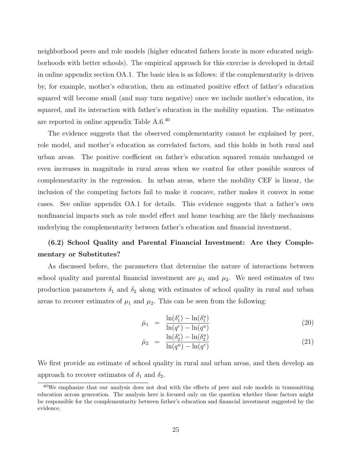neighborhood peers and role models (higher educated fathers locate in more educated neighborhoods with better schools). The empirical approach for this exercise is developed in detail in online appendix section OA.1. The basic idea is as follows: if the complementarity is driven by, for example, mother's education, then an estimated positive effect of father's education squared will become small (and may turn negative) once we include mother's education, its squared, and its interaction with father's education in the mobility equation. The estimates are reported in online appendix Table A.6.<sup>40</sup>

The evidence suggests that the observed complementarity cannot be explained by peer, role model, and mother's education as correlated factors, and this holds in both rural and urban areas. The positive coefficient on father's education squared remain unchanged or even increases in magnitude in rural areas when we control for other possible sources of complementarity in the regression. In urban areas, where the mobility CEF is linear, the inclusion of the competing factors fail to make it concave, rather makes it convex in some cases. See online appendix OA.1 for details. This evidence suggests that a father's own nonfinancial impacts such as role model effect and home teaching are the likely mechanisms underlying the complementarity between father's education and financial investment.

## (6.2) School Quality and Parental Financial Investment: Are they Complementary or Substitutes?

As discussed before, the parameters that determine the nature of interactions between school quality and parental financial investment are  $\mu_1$  and  $\mu_2$ . We need estimates of two production parameters  $\delta_1$  and  $\delta_2$  along with estimates of school quality in rural and urban areas to recover estimates of  $\mu_1$  and  $\mu_2$ . This can be seen from the following:

$$
\hat{\mu}_1 = \frac{\ln(\delta_1^r) - \ln(\delta_1^u)}{\ln(q^r) - \ln(q^u)}\tag{20}
$$

$$
\hat{\mu}_2 = \frac{\ln(\delta_2^r) - \ln(\delta_2^u)}{\ln(q^u) - \ln(q^r)}\tag{21}
$$

We first provide an estimate of school quality in rural and urban areas, and then develop an approach to recover estimates of  $\delta_1$  and  $\delta_2$ .

 $40$ We emphasize that our analysis does not deal with the effects of peer and role models in transmitting education across generation. The analysis here is focused only on the question whether these factors might be responsible for the complementarity between father's education and financial investment suggested by the evidence.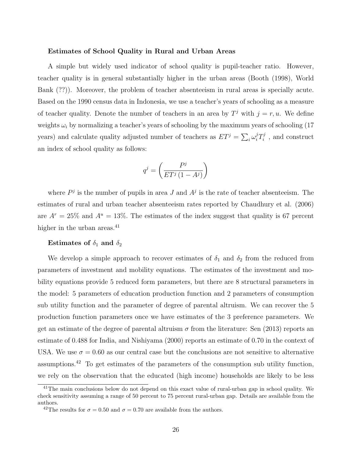#### Estimates of School Quality in Rural and Urban Areas

A simple but widely used indicator of school quality is pupil-teacher ratio. However, teacher quality is in general substantially higher in the urban areas (Booth (1998), World Bank (??)). Moreover, the problem of teacher absenteeism in rural areas is specially acute. Based on the 1990 census data in Indonesia, we use a teacher's years of schooling as a measure of teacher quality. Denote the number of teachers in an area by  $T<sup>j</sup>$  with  $j = r, u$ . We define weights  $\omega_i$  by normalizing a teacher's years of schooling by the maximum years of schooling (17) years) and calculate quality adjusted number of teachers as  $ET^j = \sum_i \omega_i^j T_i^j$  $i^j$ , and construct an index of school quality as follows:

$$
q^j = \left(\frac{P^j}{ET^j\left(1-A^j\right)}\right)
$$

where  $P<sup>j</sup>$  is the number of pupils in area J and  $A<sup>j</sup>$  is the rate of teacher absenteeism. The estimates of rural and urban teacher absenteeism rates reported by Chaudhury et al. (2006) are  $A^r = 25\%$  and  $A^u = 13\%$ . The estimates of the index suggest that quality is 67 percent higher in the urban areas.<sup>41</sup>

### Estimates of  $\delta_1$  and  $\delta_2$

We develop a simple approach to recover estimates of  $\delta_1$  and  $\delta_2$  from the reduced from parameters of investment and mobility equations. The estimates of the investment and mobility equations provide 5 reduced form parameters, but there are 8 structural parameters in the model: 5 parameters of education production function and 2 parameters of consumption sub utility function and the parameter of degree of parental altruism. We can recover the 5 production function parameters once we have estimates of the 3 preference parameters. We get an estimate of the degree of parental altruism  $\sigma$  from the literature: Sen (2013) reports an estimate of 0.488 for India, and Nishiyama (2000) reports an estimate of 0.70 in the context of USA. We use  $\sigma = 0.60$  as our central case but the conclusions are not sensitive to alternative assumptions.<sup>42</sup> To get estimates of the parameters of the consumption sub utility function, we rely on the observation that the educated (high income) households are likely to be less

<sup>41</sup>The main conclusions below do not depend on this exact value of rural-urban gap in school quality. We check sensitivity assuming a range of 50 percent to 75 percent rural-urban gap. Details are available from the authors.

<sup>&</sup>lt;sup>42</sup>The results for  $\sigma = 0.50$  and  $\sigma = 0.70$  are available from the authors.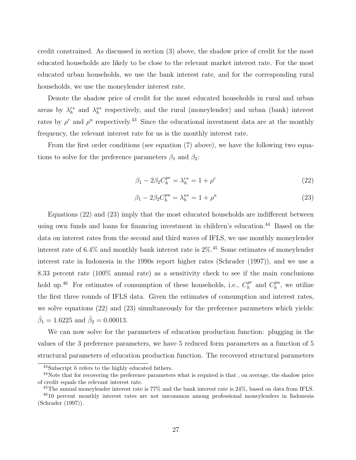credit constrained. As discussed in section (3) above, the shadow price of credit for the most educated households are likely to be close to the relevant market interest rate. For the most educated urban households, we use the bank interest rate, and for the corresponding rural households, we use the moneylender interest rate.

Denote the shadow price of credit for the most educated households in rural and urban areas by  $\lambda_h^{r*}$  and  $\lambda_h^{u*}$  respectively, and the rural (moneylender) and urban (bank) interest rates by  $\rho^r$  and  $\rho^u$  respectively.<sup>43</sup> Since the educational investment data are at the monthly frequency, the relevant interest rate for us is the monthly interest rate.

From the first order conditions (see equation (7) above), we have the following two equations to solve for the preference parameters  $\beta_1$  and  $\beta_2$ :

$$
\beta_1 - 2\beta_2 C_h^{pr} = \lambda_h^{r*} = 1 + \rho^r \tag{22}
$$

$$
\beta_1 - 2\beta_2 C_h^{pu} = \lambda_h^{u*} = 1 + \rho^u \tag{23}
$$

Equations (22) and (23) imply that the most educated households are indifferent between using own funds and loans for financing investment in children's education.<sup>44</sup> Based on the data on interest rates from the second and third waves of IFLS, we use monthly moneylender interest rate of  $6.4\%$  and monthly bank interest rate is  $2\%$ .<sup>45</sup> Some estimates of moneylender interest rate in Indonesia in the 1990s report higher rates (Schrader (1997)), and we use a 8.33 percent rate (100% annual rate) as a sensitivity check to see if the main conclusions hold up.<sup>46</sup> For estimates of consumption of these households, i.e.,  $C_h^{pr}$  $_{h}^{pr}$  and  $C_{h}^{pu}$  $h^{pu}$ , we utilize the first three rounds of IFLS data. Given the estimates of consumption and interest rates, we solve equations (22) and (23) simultaneously for the preference parameters which yields:  $\hat{\beta}_1 = 1.6225$  and  $\hat{\beta}_2 = 0.00013$ .

We can now solve for the parameters of education production function: plugging in the values of the 3 preference parameters, we have 5 reduced form parameters as a function of 5 structural parameters of education production function. The recovered structural parameters

<sup>43</sup>Subscript h refers to the highly educated fathers.

<sup>&</sup>lt;sup>44</sup>Note that for recovering the preference parameters what is required is that, on average, the shadow price of credit equals the relevant interest rate.

<sup>&</sup>lt;sup>45</sup>The annual moneylender interest rate is 77% and the bank interest rate is 24%, based on data from IFLS.

<sup>46</sup>10 percent monthly interest rates are not uncommon among professional moneylenders in Indonesia (Schrader (1997)).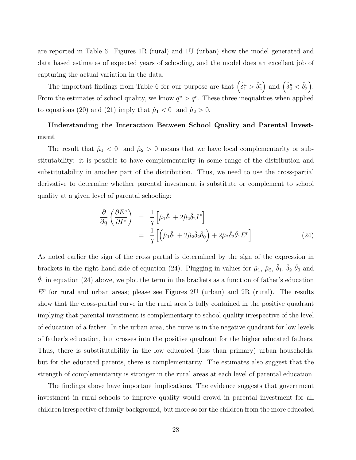are reported in Table 6. Figures 1R (rural) and 1U (urban) show the model generated and data based estimates of expected years of schooling, and the model does an excellent job of capturing the actual variation in the data.

The important findings from Table 6 for our purpose are that  $(\hat{\delta}_1^u > \hat{\delta}_2^r)$  and  $(\hat{\delta}_2^u < \hat{\delta}_2^r)$ . From the estimates of school quality, we know  $q^u > q^r$ . These three inequalities when applied to equations (20) and (21) imply that  $\hat{\mu}_1 < 0$  and  $\hat{\mu}_2 > 0$ .

## Understanding the Interaction Between School Quality and Parental Investment

The result that  $\hat{\mu}_1 < 0$  and  $\hat{\mu}_2 > 0$  means that we have local complementarity or substitutability: it is possible to have complementarity in some range of the distribution and substitutability in another part of the distribution. Thus, we need to use the cross-partial derivative to determine whether parental investment is substitute or complement to school quality at a given level of parental schooling:

$$
\frac{\partial}{\partial q} \left( \frac{\partial E^c}{\partial I^*} \right) = \frac{1}{q} \left[ \hat{\mu}_1 \hat{\delta}_1 + 2 \hat{\mu}_2 \hat{\delta}_2 I^* \right]
$$
  
\n
$$
= \frac{1}{q} \left[ \left( \hat{\mu}_1 \hat{\delta}_1 + 2 \hat{\mu}_2 \hat{\delta}_2 \hat{\theta}_0 \right) + 2 \hat{\mu}_2 \hat{\delta}_2 \hat{\theta}_1 E^p \right]
$$
(24)

As noted earlier the sign of the cross partial is determined by the sign of the expression in brackets in the right hand side of equation (24). Plugging in values for  $\hat{\mu}_1$ ,  $\hat{\mu}_2$ ,  $\hat{\delta}_1$ ,  $\hat{\delta}_2$   $\hat{\theta}_0$  and  $\hat{\theta}_1$  in equation (24) above, we plot the term in the brackets as a function of father's education  $E<sup>p</sup>$  for rural and urban areas; please see Figures 2U (urban) and 2R (rural). The results show that the cross-partial curve in the rural area is fully contained in the positive quadrant implying that parental investment is complementary to school quality irrespective of the level of education of a father. In the urban area, the curve is in the negative quadrant for low levels of father's education, but crosses into the positive quadrant for the higher educated fathers. Thus, there is substitutability in the low educated (less than primary) urban households, but for the educated parents, there is complementarity. The estimates also suggest that the strength of complementarity is stronger in the rural areas at each level of parental education.

The findings above have important implications. The evidence suggests that government investment in rural schools to improve quality would crowd in parental investment for all children irrespective of family background, but more so for the children from the more educated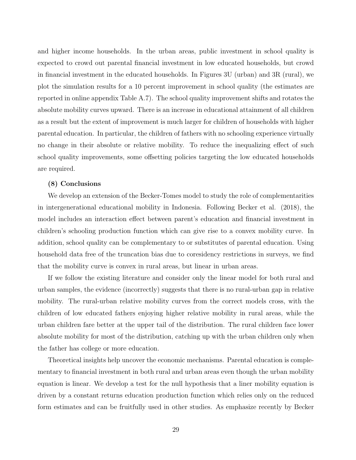and higher income households. In the urban areas, public investment in school quality is expected to crowd out parental financial investment in low educated households, but crowd in financial investment in the educated households. In Figures 3U (urban) and 3R (rural), we plot the simulation results for a 10 percent improvement in school quality (the estimates are reported in online appendix Table A.7). The school quality improvement shifts and rotates the absolute mobility curves upward. There is an increase in educational attainment of all children as a result but the extent of improvement is much larger for children of households with higher parental education. In particular, the children of fathers with no schooling experience virtually no change in their absolute or relative mobility. To reduce the inequalizing effect of such school quality improvements, some offsetting policies targeting the low educated households are required.

#### (8) Conclusions

We develop an extension of the Becker-Tomes model to study the role of complementarities in intergenerational educational mobility in Indonesia. Following Becker et al. (2018), the model includes an interaction effect between parent's education and financial investment in children's schooling production function which can give rise to a convex mobility curve. In addition, school quality can be complementary to or substitutes of parental education. Using household data free of the truncation bias due to coresidency restrictions in surveys, we find that the mobility curve is convex in rural areas, but linear in urban areas.

If we follow the existing literature and consider only the linear model for both rural and urban samples, the evidence (incorrectly) suggests that there is no rural-urban gap in relative mobility. The rural-urban relative mobility curves from the correct models cross, with the children of low educated fathers enjoying higher relative mobility in rural areas, while the urban children fare better at the upper tail of the distribution. The rural children face lower absolute mobility for most of the distribution, catching up with the urban children only when the father has college or more education.

Theoretical insights help uncover the economic mechanisms. Parental education is complementary to financial investment in both rural and urban areas even though the urban mobility equation is linear. We develop a test for the null hypothesis that a liner mobility equation is driven by a constant returns education production function which relies only on the reduced form estimates and can be fruitfully used in other studies. As emphasize recently by Becker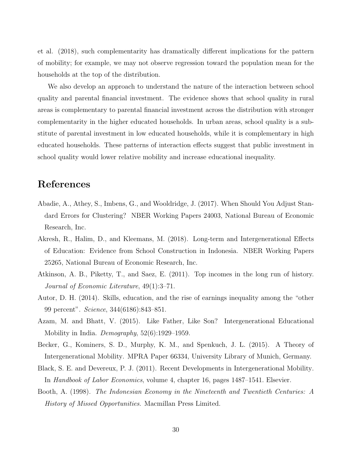et al. (2018), such complementarity has dramatically different implications for the pattern of mobility; for example, we may not observe regression toward the population mean for the households at the top of the distribution.

We also develop an approach to understand the nature of the interaction between school quality and parental financial investment. The evidence shows that school quality in rural areas is complementary to parental financial investment across the distribution with stronger complementarity in the higher educated households. In urban areas, school quality is a substitute of parental investment in low educated households, while it is complementary in high educated households. These patterns of interaction effects suggest that public investment in school quality would lower relative mobility and increase educational inequality.

## References

- Abadie, A., Athey, S., Imbens, G., and Wooldridge, J. (2017). When Should You Adjust Standard Errors for Clustering? NBER Working Papers 24003, National Bureau of Economic Research, Inc.
- Akresh, R., Halim, D., and Kleemans, M. (2018). Long-term and Intergenerational Effects of Education: Evidence from School Construction in Indonesia. NBER Working Papers 25265, National Bureau of Economic Research, Inc.
- Atkinson, A. B., Piketty, T., and Saez, E. (2011). Top incomes in the long run of history. *Journal of Economic Literature*, 49(1):3–71.
- Autor, D. H. (2014). Skills, education, and the rise of earnings inequality among the "other 99 percent". *Science*, 344(6186):843–851.
- Azam, M. and Bhatt, V. (2015). Like Father, Like Son? Intergenerational Educational Mobility in India. *Demography*, 52(6):1929–1959.
- Becker, G., Kominers, S. D., Murphy, K. M., and Spenkuch, J. L. (2015). A Theory of Intergenerational Mobility. MPRA Paper 66334, University Library of Munich, Germany.
- Black, S. E. and Devereux, P. J. (2011). Recent Developments in Intergenerational Mobility. In *Handbook of Labor Economics*, volume 4, chapter 16, pages 1487–1541. Elsevier.
- Booth, A. (1998). *The Indonesian Economy in the Nineteenth and Twentieth Centuries: A History of Missed Opportunities*. Macmillan Press Limited.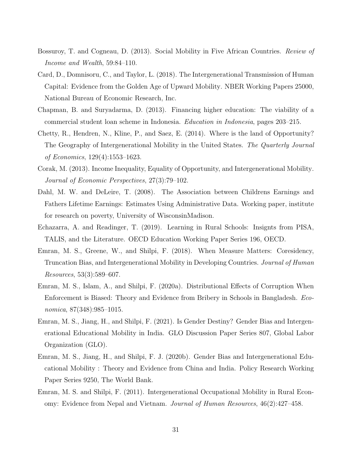- Bossuroy, T. and Cogneau, D. (2013). Social Mobility in Five African Countries. *Review of Income and Wealth*, 59:84–110.
- Card, D., Domnisoru, C., and Taylor, L. (2018). The Intergenerational Transmission of Human Capital: Evidence from the Golden Age of Upward Mobility. NBER Working Papers 25000, National Bureau of Economic Research, Inc.
- Chapman, B. and Suryadarma, D. (2013). Financing higher education: The viability of a commercial student loan scheme in Indonesia. *Education in Indonesia*, pages 203–215.
- Chetty, R., Hendren, N., Kline, P., and Saez, E. (2014). Where is the land of Opportunity? The Geography of Intergenerational Mobility in the United States. *The Quarterly Journal of Economics*, 129(4):1553–1623.
- Corak, M. (2013). Income Inequality, Equality of Opportunity, and Intergenerational Mobility. *Journal of Economic Perspectives*, 27(3):79–102.
- Dahl, M. W. and DeLeire, T. (2008). The Association between Childrens Earnings and Fathers Lifetime Earnings: Estimates Using Administrative Data. Working paper, institute for research on poverty, University of WisconsinMadison.
- Echazarra, A. and Readinger, T. (2019). Learning in Rural Schools: Insignts from PISA, TALIS, and the Literature. OECD Education Working Paper Series 196, OECD.
- Emran, M. S., Greene, W., and Shilpi, F. (2018). When Measure Matters: Coresidency, Truncation Bias, and Intergenerational Mobility in Developing Countries. *Journal of Human Resources*, 53(3):589–607.
- Emran, M. S., Islam, A., and Shilpi, F. (2020a). Distributional Effects of Corruption When Enforcement is Biased: Theory and Evidence from Bribery in Schools in Bangladesh. *Economica*, 87(348):985–1015.
- Emran, M. S., Jiang, H., and Shilpi, F. (2021). Is Gender Destiny? Gender Bias and Intergenerational Educational Mobility in India. GLO Discussion Paper Series 807, Global Labor Organization (GLO).
- Emran, M. S., Jiang, H., and Shilpi, F. J. (2020b). Gender Bias and Intergenerational Educational Mobility : Theory and Evidence from China and India. Policy Research Working Paper Series 9250, The World Bank.
- Emran, M. S. and Shilpi, F. (2011). Intergenerational Occupational Mobility in Rural Economy: Evidence from Nepal and Vietnam. *Journal of Human Resources*, 46(2):427–458.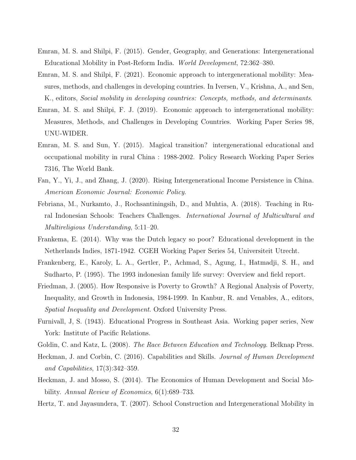- Emran, M. S. and Shilpi, F. (2015). Gender, Geography, and Generations: Intergenerational Educational Mobility in Post-Reform India. *World Development*, 72:362–380.
- Emran, M. S. and Shilpi, F. (2021). Economic approach to intergenerational mobility: Measures, methods, and challenges in developing countries. In Iversen, V., Krishna, A., and Sen, K., editors, *Social mobility in developing countries: Concepts, methods, and determinants*.
- Emran, M. S. and Shilpi, F. J. (2019). Economic approach to intergenerational mobility: Measures, Methods, and Challenges in Developing Countries. Working Paper Series 98, UNU-WIDER.
- Emran, M. S. and Sun, Y. (2015). Magical transition? intergenerational educational and occupational mobility in rural China : 1988-2002. Policy Research Working Paper Series 7316, The World Bank.
- Fan, Y., Yi, J., and Zhang, J. (2020). Rising Intergenerational Income Persistence in China. *American Economic Journal: Economic Policy*.
- Febriana, M., Nurkamto, J., Rochsantiningsih, D., and Muhtia, A. (2018). Teaching in Rural Indonesian Schools: Teachers Challenges. *International Journal of Multicultural and Multireligious Understanding*, 5:11–20.
- Frankema, E. (2014). Why was the Dutch legacy so poor? Educational development in the Netherlands Indies, 1871-1942. CGEH Working Paper Series 54, Universiteit Utrecht.
- Frankenberg, E., Karoly, L. A., Gertler, P., Achmad, S., Agung, I., Hatmadji, S. H., and Sudharto, P. (1995). The 1993 indonesian family life survey: Overview and field report.
- Friedman, J. (2005). How Responsive is Poverty to Growth? A Regional Analysis of Poverty, Inequality, and Growth in Indonesia, 1984-1999. In Kanbur, R. and Venables, A., editors, *Spatial Inequality and Development*. Oxford University Press.
- Furnivall, J, S. (1943). Educational Progress in Southeast Asia. Working paper series, New York: Institute of Pacific Relations.
- Goldin, C. and Katz, L. (2008). *The Race Between Education and Technology*. Belknap Press.
- Heckman, J. and Corbin, C. (2016). Capabilities and Skills. *Journal of Human Development and Capabilities*, 17(3):342–359.
- Heckman, J. and Mosso, S. (2014). The Economics of Human Development and Social Mobility. *Annual Review of Economics*, 6(1):689–733.
- Hertz, T. and Jayasundera, T. (2007). School Construction and Intergenerational Mobility in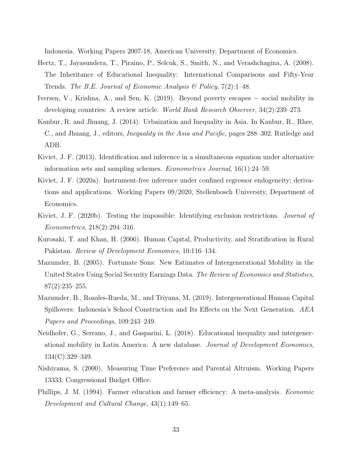Indonesia. Working Papers 2007-18, American University, Department of Economics.

- Hertz, T., Jayasundera, T., Piraino, P., Selcuk, S., Smith, N., and Verashchagina, A. (2008). The Inheritance of Educational Inequality: International Comparisons and Fifty-Year Trends. *The B.E. Journal of Economic Analysis & Policy*, 7(2):1–48.
- Iversen, V., Krishna, A., and Sen, K. (2019). Beyond poverty escapes − social mobility in developing countries: A review article. *World Bank Research Observer*, 34(2):239–273.
- Kanbur, R. and Jhuang, J. (2014). Urbaization and Inequality in Asia. In Kanbur, R., Rhee, C., and Jhuang, J., editors, *Inequality in the Asia and Pacific*, pages 288–302. Rutledge and ADB.
- Kiviet, J. F. (2013). Identification and inference in a simultaneous equation under alternative information sets and sampling schemes. *Econometrics Journal*, 16(1):24–59.
- Kiviet, J. F. (2020a). Instrument-free inference under confined regressor endogeneity; derivations and applications. Working Papers 09/2020, Stellenbosch University, Department of Economics.
- Kiviet, J. F. (2020b). Testing the impossible: Identifying exclusion restrictions. *Journal of Econometrics*, 218(2):294–316.
- Kurosaki, T. and Khan, H. (2006). Human Capital, Productivity, and Stratification in Rural Pakistan. *Review of Development Economics*, 10:116–134.
- Mazumder, B. (2005). Fortunate Sons: New Estimates of Intergenerational Mobility in the United States Using Social Security Earnings Data. *The Review of Economics and Statistics*, 87(2):235–255.
- Mazumder, B., Rosales-Rueda, M., and Triyana, M. (2019). Intergenerational Human Capital Spillovers: Indonesia's School Construction and Its Effects on the Next Generation. *AEA Papers and Proceedings*, 109:243–249.
- Neidhofer, G., Serrano, J., and Gasparini, L. (2018). Educational inequality and intergenerational mobility in Latin America: A new database. *Journal of Development Economics*, 134(C):329–349.
- Nishiyama, S. (2000). Measuring Time Preference and Parental Altruism. Working Papers 13333, Congressional Budget Office.
- Phillips, J. M. (1994). Farmer education and farmer efficiency: A meta-analysis. *Economic Development and Cultural Change*, 43(1):149–65.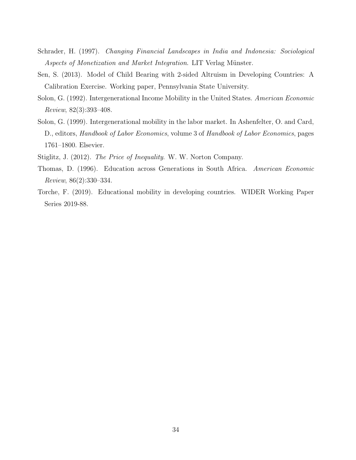- Schrader, H. (1997). *Changing Financial Landscapes in India and Indonesia: Sociological Aspects of Monetization and Market Integration.* LIT Verlag Münster.
- Sen, S. (2013). Model of Child Bearing with 2-sided Altruism in Developing Countries: A Calibration Exercise. Working paper, Pennsylvania State University.
- Solon, G. (1992). Intergenerational Income Mobility in the United States. *American Economic Review*, 82(3):393–408.
- Solon, G. (1999). Intergenerational mobility in the labor market. In Ashenfelter, O. and Card, D., editors, *Handbook of Labor Economics*, volume 3 of *Handbook of Labor Economics*, pages 1761–1800. Elsevier.
- Stiglitz, J. (2012). *The Price of Inequality*. W. W. Norton Company.
- Thomas, D. (1996). Education across Generations in South Africa. *American Economic Review*, 86(2):330–334.
- Torche, F. (2019). Educational mobility in developing countries. WIDER Working Paper Series 2019-88.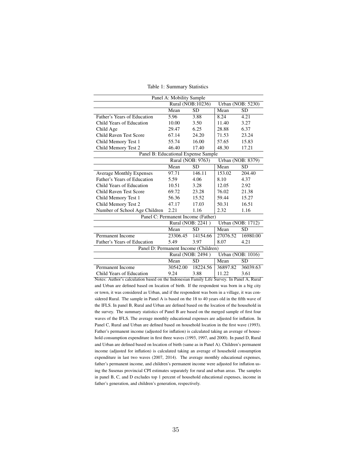| Panel A: Mobility Sample             |                                               |                   |          |                          |  |  |
|--------------------------------------|-----------------------------------------------|-------------------|----------|--------------------------|--|--|
|                                      | Rural (NOB:10236)<br><b>Urban (NOB: 5230)</b> |                   |          |                          |  |  |
|                                      | Mean                                          | <b>SD</b>         | Mean     | <b>SD</b>                |  |  |
| Father's Years of Education          | 5.96                                          | 3.88              | 8.24     | 4.21                     |  |  |
| Child Years of Education             | 10.00                                         | 3.50              | 11.40    | 3.27                     |  |  |
| Child Age                            | 29.47                                         | 6.25              | 28.88    | 6.37                     |  |  |
| Child Raven Test Score               | 67.14                                         | 24.20             | 71.53    | 23.24                    |  |  |
| Child Memory Test 1                  | 55.74                                         | 16.00             | 57.65    | 15.83                    |  |  |
| Child Memory Test 2                  | 46.40                                         | 17.40             | 48.30    | 17.21                    |  |  |
| Panel B: Educational Expense Sample  |                                               |                   |          |                          |  |  |
|                                      |                                               | Rural (NOB: 9763) |          | Urban (NOB: 8379)        |  |  |
|                                      | Mean                                          | <b>SD</b>         | Mean     | <b>SD</b>                |  |  |
| <b>Average Monthly Expenses</b>      | 97.71                                         | 146.11            | 153.02   | 204.40                   |  |  |
| <b>Father's Years of Education</b>   | 5.59                                          | 4.06              | 8.10     | 4.37                     |  |  |
| Child Years of Education             | 10.51                                         | 3.28              | 12.05    | 2.92                     |  |  |
| Child Raven Test Score               | 69.72                                         | 23.28             | 76.02    | 21.38                    |  |  |
| Child Memory Test 1                  | 56.36                                         | 15.52             | 59.44    | 15.27                    |  |  |
| Child Memory Test 2                  | 47.17                                         | 17.03             | 50.31    | 16.51                    |  |  |
| Number of School Age Children        | 2.21                                          | 1.16              | 2.32     | 1.16                     |  |  |
| Panel C: Permanent Income (Father)   |                                               |                   |          |                          |  |  |
|                                      |                                               | Rural (NOB: 2241) |          | Urban (NOB: 1712)        |  |  |
|                                      | Mean                                          | <b>SD</b>         | Mean     | <b>SD</b>                |  |  |
| Permanent Income                     | 23306.45                                      | 14154.66          | 27076.52 | 16980.00                 |  |  |
| Father's Years of Education          | 5.49                                          | 3.97              | 8.07     | 4.21                     |  |  |
| Panel D: Permanent Income (Children) |                                               |                   |          |                          |  |  |
|                                      |                                               | Rural (NOB: 2494) |          | <b>Urban</b> (NOB: 1016) |  |  |
|                                      | Mean                                          | <b>SD</b>         | Mean     | <b>SD</b>                |  |  |
| Permanent Income                     | 30542.00                                      | 18224.56          | 36897.82 | 36039.63                 |  |  |
| Child Years of Education             | 9.24                                          | 3.88              | 11.22    | 3.61                     |  |  |

Table 1: Summary Statistics

Notes: Author's calculation based on the Indonesian Family Life Survey. In Panel A, Rural and Urban are defined based on location of birth. If the respondent was born in a big city or town, it was considered as Urban, and if the respondent was born in a village, it was considered Rural. The sample in Panel A is based on the 18 to 40 years old in the fifth wave of the IFLS. In panel B, Rural and Urban are defined based on the location of the household in the survey. The summary statistics of Panel B are based on the merged sample of first four waves of the IFLS. The average monthly educational expenses are adjusted for inflation. In Panel C, Rural and Urban are defined based on household location in the first wave (1993). Father's permanent income (adjusted for inflation) is calculated taking an average of household consumption expenditure in first three waves (1993, 1997, and 2000). In panel D, Rural and Urban are defined based on location of birth (same as in Panel A). Children's permanent income (adjusted for inflation) is calculated taking an average of household consumption expenditure in last two waves (2007, 2014). The average monthly educational expenses, father's permanent income, and children's permanent income were adjusted for inflation using the Susenas provincial CPI estimates separately for rural and urban areas. The samples in panel B, C, and D excludes top 1 percent of household educational expenses, income in father's generation, and children's generation, respectively.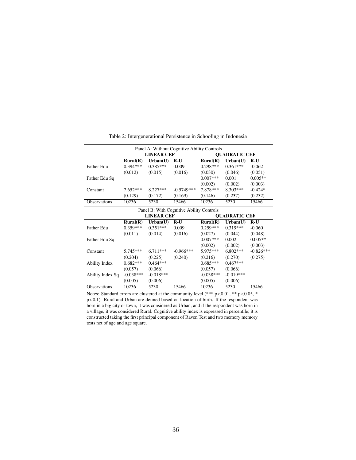| Panel A: Without Cognitive Ability Controls |                            |                   |              |                            |                      |             |  |  |  |
|---------------------------------------------|----------------------------|-------------------|--------------|----------------------------|----------------------|-------------|--|--|--|
|                                             |                            | <b>LINEAR CEF</b> |              |                            | <b>QUADRATIC CEF</b> |             |  |  |  |
|                                             | $\text{Rural}(\mathbf{R})$ | Urban(U)          | $R-U$        | $\text{Rural}(\mathbb{R})$ | Urban(U)             | $R-U$       |  |  |  |
| Father Edu                                  | $0.394***$                 | $0.385***$        | 0.009        | $0.298***$                 | $0.361***$           | $-0.062$    |  |  |  |
|                                             | (0.012)                    | (0.015)           | (0.016)      | (0.030)                    | (0.046)              | (0.051)     |  |  |  |
| Father Edu Sq                               |                            |                   |              | $0.007***$                 | 0.001                | $0.005**$   |  |  |  |
|                                             |                            |                   |              | (0.002)                    | (0.002)              | (0.003)     |  |  |  |
| Constant                                    | $7.652***$                 | $8.227***$        | $-0.5749***$ | $7.878***$                 | $8.303***$           | $-0.424*$   |  |  |  |
|                                             | (0.129)                    | (0.172)           | (0.169)      | (0.146)                    | (0.237)              | (0.232)     |  |  |  |
| Observations                                | 10236                      | 5230              | 15466        | 10236                      | 5230                 | 15466       |  |  |  |
| Panel B: With Cognitive Ability Controls    |                            |                   |              |                            |                      |             |  |  |  |
|                                             |                            | <b>LINEAR CEF</b> |              |                            | <b>OUADRATIC CEF</b> |             |  |  |  |
|                                             | $\text{Rural}(\mathbf{R})$ | Urban(U)          | $R-U$        | Rural(R)                   | Urban(U)             | $R-U$       |  |  |  |
| Father Edu                                  | $0.359***$                 | $0.351***$        | 0.009        | $0.259***$                 | $0.319***$           | $-0.060$    |  |  |  |
|                                             | (0.011)                    | (0.014)           | (0.016)      | (0.027)                    | (0.044)              | (0.048)     |  |  |  |
| Father Edu Sq                               |                            |                   |              | $0.007***$                 | 0.002                | $0.005**$   |  |  |  |
|                                             |                            |                   |              | (0.002)                    | (0.002)              | (0.003)     |  |  |  |
| Constant                                    | $5.745***$                 | $6.711***$        | $-0.966***$  | 5.975***                   | $6.802***$           | $-0.826***$ |  |  |  |
|                                             | (0.204)                    | (0.225)           | (0.240)      | (0.216)                    | (0.270)              | (0.275)     |  |  |  |
| Ability Index                               | $0.682***$                 | $0.464***$        |              | $0.685***$                 | $0.467***$           |             |  |  |  |
|                                             | (0.057)                    | (0.066)           |              | (0.057)                    | (0.066)              |             |  |  |  |
| Ability Index Sq                            | $-0.038***$                | $-0.018***$       |              | $-0.038***$                | $-0.019***$          |             |  |  |  |
|                                             | (0.005)                    | (0.006)           |              | (0.005)                    | (0.006)              |             |  |  |  |
| Observations                                | 10236                      | 5230              | 15466        | 10236                      | 5230                 | 15466       |  |  |  |

Table 2: Intergenerational Persistence in Schooling in Indonesia

Notes: Standard errors are clustered at the community level  $(*** p<0.01, ** p<0.05, *$ p<0.1). Rural and Urban are defined based on location of birth. If the respondent was born in a big city or town, it was considered as Urban, and if the respondent was born in a village, it was considered Rural. Cognitive ability index is expressed in percentile; it is constructed taking the first principal component of Raven Test and two memory memory tests net of age and age square.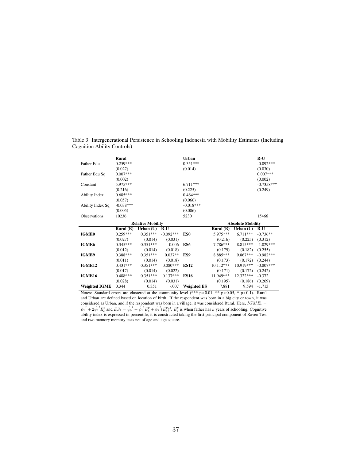|                  | Rural                    |             |             | Urban           |                          |             | $R-U$        |
|------------------|--------------------------|-------------|-------------|-----------------|--------------------------|-------------|--------------|
| Father Edu       | $0.259***$               |             |             | $0.351***$      |                          |             | $-0.092***$  |
|                  | (0.027)                  |             |             | (0.014)         |                          |             | (0.030)      |
| Father Edu Sq    | $0.007***$               |             |             |                 |                          |             | $0.007***$   |
|                  | (0.002)                  |             |             |                 |                          |             | (0.002)      |
| Constant         | 5.975***                 |             |             | $6.711***$      |                          |             | $-0.7358***$ |
|                  | (0.216)                  |             |             | (0.225)         |                          |             | (0.249)      |
| Ability Index    | $0.685***$               |             |             | $0.464***$      |                          |             |              |
|                  | (0.057)                  |             |             | (0.066)         |                          |             |              |
| Ability Index Sq | $-0.038***$              |             |             | $-0.018***$     |                          |             |              |
|                  | (0.005)                  |             |             | (0.006)         |                          |             |              |
| Observations     | 10236                    |             |             | 5230            |                          |             | 15466        |
|                  | <b>Relative Mobility</b> |             |             |                 | <b>Absolute Mobility</b> |             |              |
|                  |                          |             |             |                 |                          |             |              |
|                  | Rural $(R)$              | Urban $(U)$ | $R-U$       |                 | Rural $(R)$              | Urban $(U)$ | $R-U$        |
| <b>IGME0</b>     | $0.259***$               | $0.351***$  | $-0.092***$ | ES <sub>0</sub> | 5.975***                 | $6.711***$  | $-0.736**$   |
|                  | (0.027)                  | (0.014)     | (0.031)     |                 | (0.216)                  | (0.225)     | (0.312)      |
| IGME6            | $0.345***$               | $0.351***$  | $-0.006$    | ES6             | 7.786***                 | 8.815***    | $-1.029***$  |
|                  | (0.012)                  | (0.014)     | (0.018)     |                 | (0.179)                  | (0.182)     | (0.255)      |
| IGME9            | $0.388***$               | $0.351***$  | $0.037**$   | ES9             | 8.885***                 | 9.867***    | $-0.982***$  |
|                  | (0.011)                  | (0.014)     | (0.018)     |                 | (0.173)                  | (0.172)     | (0.244)      |
| IGME12           | $0.431***$               | $0.351***$  | $0.080***$  | <b>ES12</b>     | 10.112***                | 10.919***   | $-0.807***$  |
|                  | (0.017)                  | (0.014)     | (0.022)     |                 | (0.171)                  | (0.172)     | (0.242)      |
| IGME16           | $0.488***$               | $0.351***$  | $0.137***$  | <b>ES16</b>     | 11.949***                | 12.322***   | $-0.372$     |
|                  | (0.028)                  | (0.014)     | (0.031)     |                 | (0.195)                  | (0.186)     | (0.269)      |

Table 3: Intergenerational Persistence in Schooling Indonesia with Mobility Estimates (Including Cognition Ability Controls)

Notes: Standard errors are clustered at the community level (\*\*\* p<0.01, \*\* p<0.05, \* p<0.1). Rural and Urban are defined based on location of birth. If the respondent was born in a big city or town, it was considered as Urban, and if the respondent was born in a village, it was considered Rural. Here,  $IGME_k$  =  $\hat{\psi}_1^j + 2\hat{\psi}_2^j E_k^p$  and  $E S_k = \hat{\psi}_0^j + \hat{\hat{\psi}_1}^j E_k^p + \hat{\psi}_2^j (E_k^p)^2$ .  $E_k^p$  is when father has k years of schooling. Cognitive ability index is expressed in percentile; it is constructed taking the first principal component of Raven Test and two memory memory tests net of age and age square.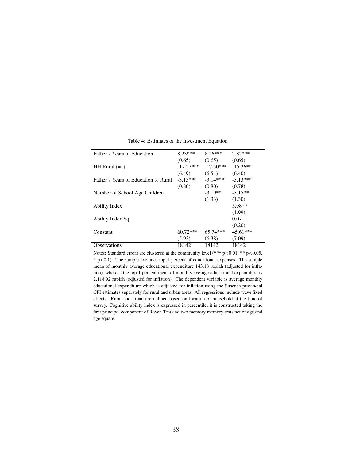| Father's Years of Education                | $8.23***$   | $8.26***$   | $7.82***$  |
|--------------------------------------------|-------------|-------------|------------|
|                                            | (0.65)      | (0.65)      | (0.65)     |
| HH Rural $(=1)$                            | $-17.27***$ | $-17.50***$ | $-15.26**$ |
|                                            | (6.49)      | (6.51)      | (6.40)     |
| Father's Years of Education $\times$ Rural | $-3.15***$  | $-3.14***$  | $-3.13***$ |
|                                            | (0.80)      | (0.80)      | (0.78)     |
| Number of School Age Children              |             | $-3.19**$   | $-3.15**$  |
|                                            |             | (1.33)      | (1.30)     |
| Ability Index                              |             |             | 3.98**     |
|                                            |             |             | (1.99)     |
| Ability Index Sq                           |             |             | 0.07       |
|                                            |             |             | (0.20)     |
| Constant                                   | $60.72***$  | $65.74***$  | $45.61***$ |
|                                            | (5.93)      | (6.38)      | (7.09)     |
| <b>Observations</b>                        | 18142       | 18142       | 18142      |

Table 4: Estimates of the Investment Equation

Notes: Standard errors are clustered at the community level  $(*** p<0.01, ** p<0.05,$  $*$  p $<$ 0.1). The sample excludes top 1 percent of educational expenses. The sample mean of monthly average educational expenditure 143.18 rupiah (adjusted for inflation), whereas the top 1 percent mean of monthly average educational expenditure is 2,118.92 rupiah (adjusted for inflation). The dependent variable is average monthly educational expenditure which is adjusted for inflation using the Susenas provincial CPI estimates separately for rural and urban areas. All regressions include wave fixed effects. Rural and urban are defined based on location of household at the time of survey. Cognitive ability index is expressed in percentile; it is constructed taking the first principal component of Raven Test and two memory memory tests net of age and age square.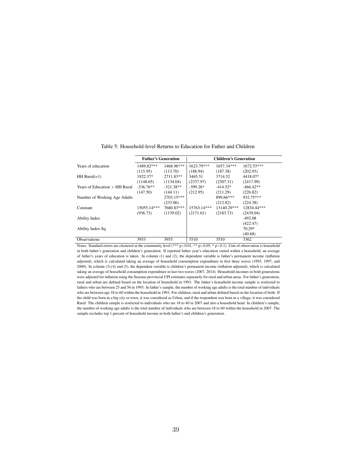|                                      | <b>Father's Generation</b> |             | <b>Children's Generation</b> |             |              |  |
|--------------------------------------|----------------------------|-------------|------------------------------|-------------|--------------|--|
| Years of education                   | 1489.82***                 | 1468.96***  | 1623.79***                   | 1657.34***  | $1672.53***$ |  |
|                                      | (115.95)                   | (113.70)    | (188.94)                     | (187.38)    | (202.93)     |  |
| $HH$ Rural( $=1$ )                   | 1922.37*                   | 2711.83**   | 3465.51                      | 3714.52     | 4418.07*     |  |
|                                      | (1148.65)                  | (1134.04)   | (2337.97)                    | (2307.31)   | (2417.99)    |  |
| Years of Education $\times$ HH Rural | $-336.76**$                | $-321.38**$ | $-399.26*$                   | $-414.52*$  | $-466.42**$  |  |
|                                      | (147.50)                   | (144.11)    | (212.95)                     | (211.29)    | (226.82)     |  |
| Number of Working Age Adults         |                            | 2703.15***  |                              | 899.66***   | 932.75***    |  |
|                                      |                            | (233.06)    |                              | (212.82)    | (224.38)     |  |
| Constant                             | 15055.14***                | 7680.83***  | 15763.14***                  | 13140.29*** | 12834.44***  |  |
|                                      | (936.73)                   | (1139.02)   | (2171.01)                    | (2183.73)   | (2439.04)    |  |
| Ability Index                        |                            |             |                              |             | $-492.08$    |  |
|                                      |                            |             |                              |             | (422.47)     |  |
| Ability Index Sq                     |                            |             |                              |             | 70.29*       |  |
|                                      |                            |             |                              |             | (40.68)      |  |
| <b>Observations</b>                  | 3953                       | 3953        | 3510                         | 3510        | 3362         |  |

Table 5: Household-level Returns to Education for Father and Children

Notes: Standard errors are clustered at the community level (\*\*\*  $p<0.01$ , \*\*  $p<0.05$ , \*  $p<0.1$ ). Unit of observation is household in both father's generation and children's generation. If reported father year's education varied within a household, an average of father's years of education is taken. In column (1) and (2), the dependent variable is father's permanent income (inflation adjusted), which is calculated taking an average of household consumption expenditure in first three waves (1993, 1997, and 2000). In column (3),(4) and (5), the dependent variable is children's permanent income (inflation adjusted), which is calculated taking an average of household consumption expenditure in last two waves (2007, 2014). Household incomes in both generations were adjusted for inflation using the Susenas provincial CPI estimates separately for rural and urban areas. For father's generation, rural and urban are defined based on the location of household in 1993. The father's household income sample is restricted to fathers who are between 25 and 56 in 1993. In father's sample, the number of working age adults is the total number of individuals who are between age 18 to 60 within the household in 1993. For children, rural and urban defined based on the location of birth. If the child was born in a big city or town, it was considered as Urban, and if the respondent was born in a village, it was considered Rural. The children sample is restricted to individuals who are 18 to 40 in 2007 and also a household head. In children's sample, the number of working age adults is the total number of individuals who are between 18 to 60 within the household in 2007. The sample excludes top 1 percent of household income in both father's and children's generation.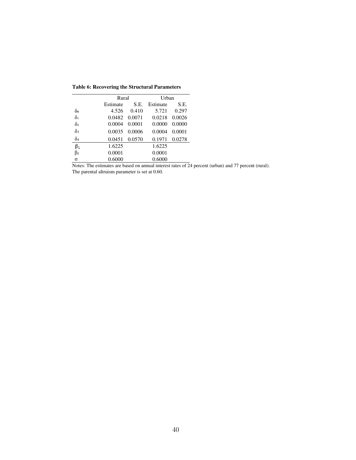|                       | Rural    |        | Urban    |        |  |
|-----------------------|----------|--------|----------|--------|--|
|                       | Estimate | S.E.   | Estimate | S.E.   |  |
| $\delta$ o            | 4.526    | 0.410  | 5.721    | 0.297  |  |
| $\delta_1$            | 0.0482   | 0.0071 | 0.0218   | 0.0026 |  |
| $\delta$ <sub>2</sub> | 0.0004   | 0.0001 | 0.0000   | 0.0000 |  |
| $\delta_3$            | 0.0035   | 0.0006 | 0.0004   | 0.0001 |  |
| $\delta_4$            | 0.0451   | 0.0570 | 0.1971   | 0.0278 |  |
| $\beta_1$             | 1.6225   |        | 1.6225   |        |  |
| $\beta_2$             | 0.0001   |        | 0.0001   |        |  |
| $\sigma$              | 0.6000   |        | 0.6000   |        |  |

**Table 6: Recovering the Structural Parameters** 

Notes: The estimates are based on annual interest rates of 24 percent (urban) and 77 percent (rural). The parental altruism parameter is set at 0.60.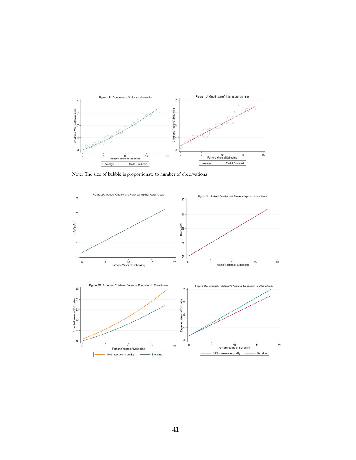

Note: The size of bubble is proportionate to number of observations

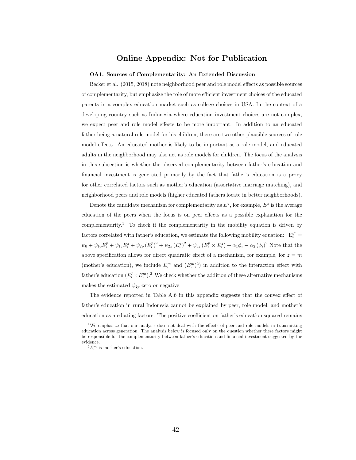## Online Appendix: Not for Publication

#### OA1. Sources of Complementarity: An Extended Discussion

Becker et al. (2015, 2018) note neighborhood peer and role model effects as possible sources of complementarity, but emphasize the role of more efficient investment choices of the educated parents in a complex education market such as college choices in USA. In the context of a developing country such as Indonesia where education investment choices are not complex, we expect peer and role model effects to be more important. In addition to an educated father being a natural role model for his children, there are two other plausible sources of role model effects. An educated mother is likely to be important as a role model, and educated adults in the neighborhood may also act as role models for children. The focus of the analysis in this subsection is whether the observed complementarity between father's education and financial investment is generated primarily by the fact that father's education is a proxy for other correlated factors such as mother's education (assortative marriage matching), and neighborhood peers and role models (higher educated fathers locate in better neighborhoods).

Denote the candidate mechanism for complementarity as  $E^z$ , for example,  $E^z$  is the average education of the peers when the focus is on peer effects as a possible explanation for the complementarity.<sup>1</sup> To check if the complementarity in the mobility equation is driven by factors correlated with father's education, we estimate the following mobility equation:  $E_i^{c^*} =$  $\psi_0 + \psi_{1p} E_i^p + \psi_{1z} E_i^z + \psi_{2p} (E_i^p)^2 + \psi_{2z} (E_i^z)^2 + \psi_{3z} (E_i^p \times E_i^z) + \alpha_1 \phi_i - \alpha_2 (\phi_i)^2$  Note that the above specification allows for direct quadratic effect of a mechanism, for example, for  $z = m$ (mother's education), we include  $E_i^m$  and  $(E_i^m)^2$ ) in addition to the interaction effect with father's education  $(E_i^p \times E_i^m)$ .<sup>2</sup> We check whether the addition of these alternative mechanisms makes the estimated  $\psi_{2p}$  zero or negative.

The evidence reported in Table A.6 in this appendix suggests that the convex effect of father's education in rural Indonesia cannot be explained by peer, role model, and mother's education as mediating factors. The positive coefficient on father's education squared remains

<sup>&</sup>lt;sup>1</sup>We emphasize that our analysis does not deal with the effects of peer and role models in transmitting education across generation. The analysis below is focused only on the question whether these factors might be responsible for the complementarity between father's education and financial investment suggested by the evidence.

 $^{2}E_{i}^{m}$  is mother's education.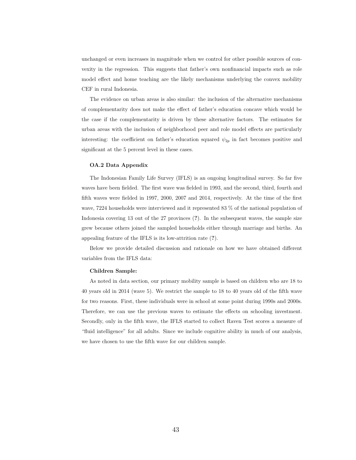unchanged or even increases in magnitude when we control for other possible sources of convexity in the regression. This suggests that father's own nonfinancial impacts such as role model effect and home teaching are the likely mechanisms underlying the convex mobility CEF in rural Indonesia.

The evidence on urban areas is also similar: the inclusion of the alternative mechanisms of complementarity does not make the effect of father's education concave which would be the case if the complementarity is driven by these alternative factors. The estimates for urban areas with the inclusion of neighborhood peer and role model effects are particularly interesting: the coefficient on father's education squared  $\psi_{2p}$  in fact becomes positive and significant at the 5 percent level in these cases.

#### OA.2 Data Appendix

The Indonesian Family Life Survey (IFLS) is an ongoing longitudinal survey. So far five waves have been fielded. The first wave was fielded in 1993, and the second, third, fourth and fifth waves were fielded in 1997, 2000, 2007 and 2014, respectively. At the time of the first wave, 7224 households were interviewed and it represented 83 % of the national population of Indonesia covering 13 out of the 27 provinces (?). In the subsequent waves, the sample size grew because others joined the sampled households either through marriage and births. An appealing feature of the IFLS is its low-attrition rate (?).

Below we provide detailed discussion and rationale on how we have obtained different variables from the IFLS data:

#### Children Sample:

As noted in data section, our primary mobility sample is based on children who are 18 to 40 years old in 2014 (wave 5). We restrict the sample to 18 to 40 years old of the fifth wave for two reasons. First, these individuals were in school at some point during 1990s and 2000s. Therefore, we can use the previous waves to estimate the effects on schooling investment. Secondly, only in the fifth wave, the IFLS started to collect Raven Test scores a measure of "fluid intelligence" for all adults. Since we include cognitive ability in much of our analysis, we have chosen to use the fifth wave for our children sample.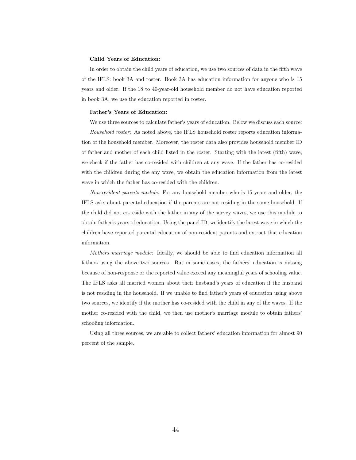#### Child Years of Education:

In order to obtain the child years of education, we use two sources of data in the fifth wave of the IFLS: book 3A and roster. Book 3A has education information for anyone who is 15 years and older. If the 18 to 40-year-old household member do not have education reported in book 3A, we use the education reported in roster.

#### Father's Years of Education:

We use three sources to calculate father's years of education. Below we discuss each source:

*Household roster:* As noted above, the IFLS household roster reports education information of the household member. Moreover, the roster data also provides household member ID of father and mother of each child listed in the roster. Starting with the latest (fifth) wave, we check if the father has co-resided with children at any wave. If the father has co-resided with the children during the any wave, we obtain the education information from the latest wave in which the father has co-resided with the children.

*Non-resident parents module:* For any household member who is 15 years and older, the IFLS asks about parental education if the parents are not residing in the same household. If the child did not co-reside with the father in any of the survey waves, we use this module to obtain father's years of education. Using the panel ID, we identify the latest wave in which the children have reported parental education of non-resident parents and extract that education information.

*Mothers marriage module:* Ideally, we should be able to find education information all fathers using the above two sources. But in some cases, the fathers' education is missing because of non-response or the reported value exceed any meaningful years of schooling value. The IFLS asks all married women about their husband's years of education if the husband is not residing in the household. If we unable to find father's years of education using above two sources, we identify if the mother has co-resided with the child in any of the waves. If the mother co-resided with the child, we then use mother's marriage module to obtain fathers' schooling information.

Using all three sources, we are able to collect fathers' education information for almost 90 percent of the sample.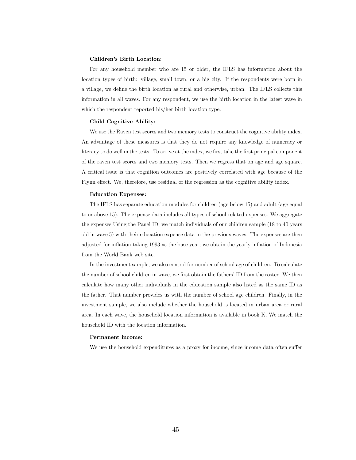#### Children's Birth Location:

For any household member who are 15 or older, the IFLS has information about the location types of birth: village, small town, or a big city. If the respondents were born in a village, we define the birth location as rural and otherwise, urban. The IFLS collects this information in all waves. For any respondent, we use the birth location in the latest wave in which the respondent reported his/her birth location type.

#### Child Cognitive Ability:

We use the Raven test scores and two memory tests to construct the cognitive ability index. An advantage of these measures is that they do not require any knowledge of numeracy or literacy to do well in the tests. To arrive at the index, we first take the first principal component of the raven test scores and two memory tests. Then we regress that on age and age square. A critical issue is that cognition outcomes are positively correlated with age because of the Flynn effect. We, therefore, use residual of the regression as the cognitive ability index.

#### Education Expenses:

The IFLS has separate education modules for children (age below 15) and adult (age equal to or above 15). The expense data includes all types of school-related expenses. We aggregate the expenses Using the Panel ID, we match individuals of our children sample (18 to 40 years old in wave 5) with their education expense data in the previous waves. The expenses are then adjusted for inflation taking 1993 as the base year; we obtain the yearly inflation of Indonesia from the World Bank web site.

In the investment sample, we also control for number of school age of children. To calculate the number of school children in wave, we first obtain the fathers' ID from the roster. We then calculate how many other individuals in the education sample also listed as the same ID as the father. That number provides us with the number of school age children. Finally, in the investment sample, we also include whether the household is located in urban area or rural area. In each wave, the household location information is available in book K. We match the household ID with the location information.

#### Permanent income:

We use the household expenditures as a proxy for income, since income data often suffer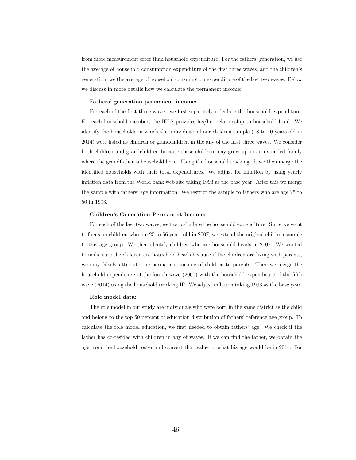from more measurement error than household expenditure. For the fathers' generation, we use the average of household consumption expenditure of the first three waves, and the children's generation, we the average of household consumption expenditure of the last two waves. Below we discuss in more details how we calculate the permanent income:

#### Fathers' generation permanent income:

For each of the first three waves, we first separately calculate the household expenditure. For each household member, the IFLS provides his/her relationship to household head. We identify the households in which the individuals of our children sample (18 to 40 years old in 2014) were listed as children or grandchildren in the any of the first three waves. We consider both children and grandchildren because these children may grow up in an extended family where the grandfather is household head. Using the household tracking id, we then merge the identified households with their total expenditures. We adjust for inflation by using yearly inflation data from the World bank web site taking 1993 as the base year. After this we merge the sample with fathers' age information. We restrict the sample to fathers who are age 25 to 56 in 1993.

#### Children's Generation Permanent Income:

For each of the last two waves, we first calculate the household expenditure. Since we want to focus on children who are 25 to 56 years old in 2007, we extend the original children sample to this age group. We then identify children who are household heads in 2007. We wanted to make sure the children are household heads because if the children are living with parents, we may falsely attribute the permanent income of children to parents. Then we merge the household expenditure of the fourth wave (2007) with the household expenditure of the fifth wave (2014) using the household tracking ID. We adjust inflation taking 1993 as the base year.

#### Role model data:

The role model in our study are individuals who were born in the same district as the child and belong to the top 50 percent of education distribution of fathers' reference age group. To calculate the role model education, we first needed to obtain fathers' age. We check if the father has co-resided with children in any of waves. If we can find the father, we obtain the age from the household roster and convert that value to what his age would be in 2014. For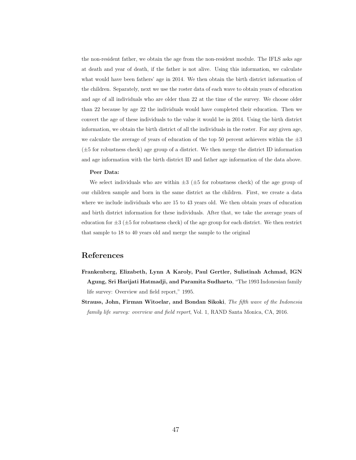the non-resident father, we obtain the age from the non-resident module. The IFLS asks age at death and year of death, if the father is not alive. Using this information, we calculate what would have been fathers' age in 2014. We then obtain the birth district information of the children. Separately, next we use the roster data of each wave to obtain years of education and age of all individuals who are older than 22 at the time of the survey. We choose older than 22 because by age 22 the individuals would have completed their education. Then we convert the age of these individuals to the value it would be in 2014. Using the birth district information, we obtain the birth district of all the individuals in the roster. For any given age, we calculate the average of years of education of the top 50 percent achievers within the  $\pm 3$  $(\pm 5$  for robustness check) age group of a district. We then merge the district ID information and age information with the birth district ID and father age information of the data above.

#### Peer Data:

We select individuals who are within  $\pm 3$  ( $\pm 5$  for robustness check) of the age group of our children sample and born in the same district as the children. First, we create a data where we include individuals who are 15 to 43 years old. We then obtain years of education and birth district information for these individuals. After that, we take the average years of education for  $\pm 3$  ( $\pm 5$  for robustness check) of the age group for each district. We then restrict that sample to 18 to 40 years old and merge the sample to the original

## References

- Frankenberg, Elizabeth, Lynn A Karoly, Paul Gertler, Sulistinah Achmad, IGN Agung, Sri Harijati Hatmadji, and Paramita Sudharto, "The 1993 Indonesian family life survey: Overview and field report," 1995.
- Strauss, John, Firman Witoelar, and Bondan Sikoki, *The fifth wave of the Indonesia family life survey: overview and field report*, Vol. 1, RAND Santa Monica, CA, 2016.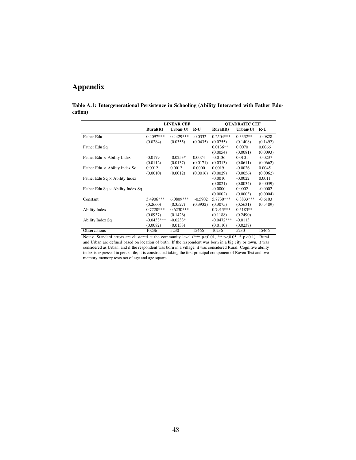## Appendix

|         | Table A.1: Intergenerational Persistence in Schooling (Ability Interacted with Father Edu- |  |  |
|---------|--------------------------------------------------------------------------------------------|--|--|
| cation) |                                                                                            |  |  |

|                                         |                            | <b>LINEAR CEF</b> |           | <b>OUADRATIC CEF</b> |             |           |  |
|-----------------------------------------|----------------------------|-------------------|-----------|----------------------|-------------|-----------|--|
|                                         | $\text{Rural}(\mathbf{R})$ | Urban(U)          | $R-U$     | Rural(R)             | Urban(U)    | $R-U$     |  |
| Father Edu                              | $0.4097***$                | $0.4429***$       | $-0.0332$ | $0.2504***$          | $0.3332**$  | $-0.0828$ |  |
|                                         | (0.0284)                   | (0.0355)          | (0.0435)  | (0.0755)             | (0.1408)    | (0.1492)  |  |
| Father Edu Sq                           |                            |                   |           | $0.0136**$           | 0.0070      | 0.0066    |  |
|                                         |                            |                   |           | (0.0054)             | (0.0081)    | (0.0093)  |  |
| Father Edu $\times$ Ability Index       | $-0.0179$                  | $-0.0253*$        | 0.0074    | $-0.0136$            | 0.0101      | $-0.0237$ |  |
|                                         | (0.0112)                   | (0.0137)          | (0.0171)  | (0.0313)             | (0.0611)    | (0.0662)  |  |
| Father Edu $\times$ Ability Index Sq    | 0.0012                     | 0.0012            | 0.0000    | 0.0019               | $-0.0026$   | 0.0045    |  |
|                                         | (0.0010)                   | (0.0012)          | (0.0016)  | (0.0029)             | (0.0056)    | (0.0062)  |  |
| Father Edu Sq $\times$ Ability Index    |                            |                   |           | $-0.0010$            | $-0.0022$   | 0.0011    |  |
|                                         |                            |                   |           | (0.0021)             | (0.0034)    | (0.0039)  |  |
| Father Edu Sq $\times$ Ability Index Sq |                            |                   |           | $-0.0000$            | 0.0002      | $-0.0002$ |  |
|                                         |                            |                   |           | (0.0002)             | (0.0003)    | (0.0004)  |  |
| Constant                                | 5.4906***                  | $6.0809***$       | $-0.5902$ | $5.7730***$          | $6.3833***$ | $-0.6103$ |  |
|                                         | (0.2660)                   | (0.3527)          | (0.3932)  | (0.3075)             | (0.5631)    | (0.5489)  |  |
| Ability Index                           | $0.7720***$                | $0.6230***$       |           | $0.7913***$          | $0.5183**$  |           |  |
|                                         | (0.0937)                   | (0.1426)          |           | (0.1188)             | (0.2490)    |           |  |
| Ability Index Sq                        | $-0.0438***$               | $-0.0233*$        |           | $-0.0472***$         | $-0.0113$   |           |  |
|                                         | (0.0082)                   | (0.0133)          |           | (0.0110)             | (0.0237)    |           |  |
| <b>Observations</b>                     | 10236                      | 5230              | 15466     | 10236                | 5230        | 15466     |  |

Notes: Standard errors are clustered at the community level (\*\*\*  $p<0.01$ , \*\*  $p<0.05$ , \*  $p<0.1$ ). Rural and Urban are defined based on location of birth. If the respondent was born in a big city or town, it was considered as Urban, and if the respondent was born in a village, it was considered Rural. Cognitive ability index is expressed in percentile; it is constructed taking the first principal component of Raven Test and two memory memory tests net of age and age square.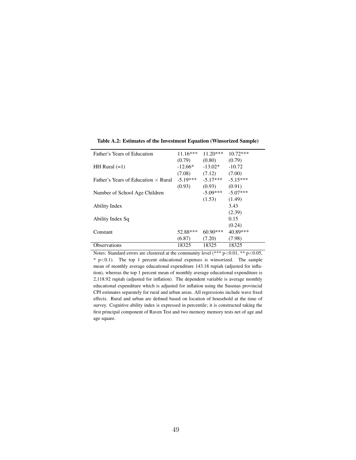| Father's Years of Education                | $11.16***$ | $11.20***$ | $10.72***$ |
|--------------------------------------------|------------|------------|------------|
|                                            | (0.79)     | (0.80)     | (0.79)     |
| HH Rural $(=1)$                            | $-12.66*$  | $-13.02*$  | $-10.72$   |
|                                            | (7.08)     | (7.12)     | (7.00)     |
| Father's Years of Education $\times$ Rural | $-5.19***$ | $-5.17***$ | $-5.15***$ |
|                                            | (0.93)     | (0.93)     | (0.91)     |
| Number of School Age Children              |            | $-5.09***$ | $-5.07***$ |
|                                            |            | (1.53)     | (1.49)     |
| Ability Index                              |            |            | 3.43       |
|                                            |            |            | (2.39)     |
| Ability Index Sq                           |            |            | 0.15       |
|                                            |            |            | (0.24)     |
| Constant                                   | 52.88***   | $60.90***$ | 40.89***   |
|                                            | (6.87)     | (7.20)     | (7.98)     |
| <b>Observations</b>                        | 18325      | 18325      | 18325      |

Table A.2: Estimates of the Investment Equation (Winsorized Sample)

Notes: Standard errors are clustered at the community level  $(*** p<0.01, ** p<0.05,$  $*$  p $<$ 0.1). The top 1 percent educational expenses is winsorized. The sample mean of monthly average educational expenditure 143.18 rupiah (adjusted for inflation), whereas the top 1 percent mean of monthly average educational expenditure is 2,118.92 rupiah (adjusted for inflation). The dependent variable is average monthly educational expenditure which is adjusted for inflation using the Susenas provincial CPI estimates separately for rural and urban areas. All regressions include wave fixed effects. Rural and urban are defined based on location of household at the time of survey. Cognitive ability index is expressed in percentile; it is constructed taking the first principal component of Raven Test and two memory memory tests net of age and age square.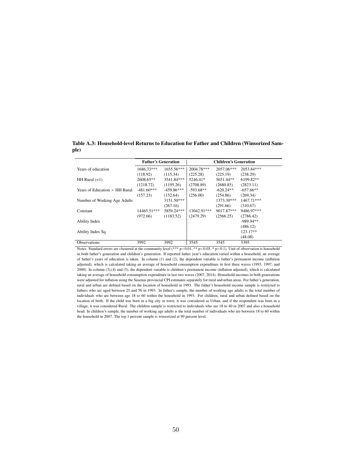Table A.3: Household-level Returns to Education for Father and Children (Winsorized Sample)

|                                      | <b>Father's Generation</b> |              |              | <b>Children's Generation</b> |             |
|--------------------------------------|----------------------------|--------------|--------------|------------------------------|-------------|
| Years of education                   | 1686.33***                 | $1655.56***$ | $2004.78***$ | 2057.06***                   | 2053.84***  |
|                                      | (118.92)                   | (115.34)     | (225.28)     | (225.19)                     | (238.29)    |
| HH Rural $(=1)$                      | 2608.65**                  | 3541.84***   | 5246.41*     | 5651.44**                    | 6199.82**   |
|                                      | (1218.72)                  | (1195.26)    | (2708.89)    | (2680.85)                    | (2823.11)   |
| Years of Education $\times$ HH Rural | $-481.60***$               | $-459.86***$ | $-593.68**$  | $-620.24**$                  | $-657.66**$ |
|                                      | (157.23)                   | (152.64)     | (256.00)     | (254.86)                     | (269.34)    |
| Number of Working Age Adults         |                            | 3151.50***   |              | 1373.30***                   | 1467.71***  |
|                                      |                            | (267.16)     |              | (291.66)                     | (310.67)    |
| Constant                             | 14465.51***                | 5859.24***   | 13042.91***  | 9017.87***                   | 9486.97***  |
|                                      | (972.66)                   | (1183.52)    | (2479.29)    | (2566.25)                    | (2786.42)   |
| Ability Index                        |                            |              |              |                              | $-989.94**$ |
|                                      |                            |              |              |                              | (486.12)    |
| Ability Index Sq                     |                            |              |              |                              | $123.17**$  |
|                                      |                            |              |              |                              | (48.08)     |
| <b>Observations</b>                  | 3992                       | 3992         | 3545         | 3545                         | 3395        |

Notes: Standard errors are clustered at the community level (\*\*\*  $p<0.01$ , \*\*  $p<0.05$ , \*  $p<0.1$ ). Unit of observation is household in both father's generation and children's generation. If reported father year's education varied within a household, an average of father's years of education is taken. In column (1) and (2), the dependent variable is father's permanent income (inflation adjusted), which is calculated taking an average of household consumption expenditure in first three waves (1993, 1997, and 2000). In column (3),(4) and (5), the dependent variable is children's permanent income (inflation adjusted), which is calculated taking an average of household consumption expenditure in last two waves (2007, 2014). Household incomes in both generations were adjusted for inflation using the Susenas provincial CPI estimates separately for rural and urban areas. For father's generation, rural and urban are defined based on the location of household in 1993. The father's household income sample is restricted to fathers who are aged between 25 and 56 in 1993. In father's sample, the number of working age adults is the total number of individuals who are between age 18 to 60 within the household in 1993. For children, rural and urban defined based on the location of birth. If the child was born in a big city or town, it was considered as Urban, and if the respondent was born in a village, it was considered Rural. The children sample is restricted to individuals who are 18 to 40 in 2007 and also a household head. In children's sample, the number of working age adults is the total number of individuals who are between 18 to 60 within the household in 2007. The top 1 percent sample is winsorized at 99 percent level.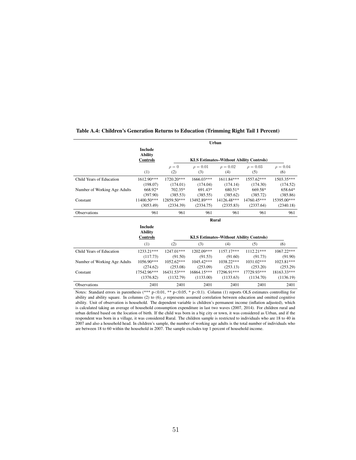|                              | Urban                                               |                          |                          |                          |                                                |                          |  |
|------------------------------|-----------------------------------------------------|--------------------------|--------------------------|--------------------------|------------------------------------------------|--------------------------|--|
|                              | <b>Include</b><br><b>Ability</b><br><b>Controls</b> |                          |                          |                          | <b>KLS Estimates–Without Ability Controls)</b> |                          |  |
|                              | (1)                                                 | $\rho = 0$<br>(2)        | $\rho = 0.01$<br>(3)     | $\rho = 0.02$<br>(4)     | $\rho = 0.03$<br>(5)                           | $\rho = 0.04$<br>(6)     |  |
| Child Years of Education     | 1612.90***<br>(198.07)                              | 1720.20***<br>(174.01)   | 1666.03***<br>(174.04)   | $1611.84***$<br>(174.14) | 1557.62***<br>(174.30)                         | 1503.35***<br>(174.52)   |  |
| Number of Working Age Adults | 668.92*<br>(397.90)                                 | $702.35*$<br>(385.53)    | 691.43*<br>(385.55)      | 680.51*<br>(385.62)      | 669.58*<br>(385.72)                            | 658.64*<br>(385.86)      |  |
| Constant                     | $11400.50***$<br>(3053.49)                          | 12859.50***<br>(2334.39) | 13492.89***<br>(2334.75) | 14126.48***<br>(2335.83) | 14760.45***<br>(2337.64)                       | 15395.00***<br>(2340.18) |  |
| <b>Observations</b>          | 961                                                 | 961                      | 961                      | 961                      | 961                                            | 961                      |  |

#### Table A.4: Children's Generation Returns to Education (Trimming Right Tail 1 Percent)

|                              | Include<br><b>Ability</b><br><b>Controls</b> | <b>KLS Estimates–Without Ability Controls)</b> |              |              |             |              |  |  |
|------------------------------|----------------------------------------------|------------------------------------------------|--------------|--------------|-------------|--------------|--|--|
|                              | (1)                                          | (2)                                            | (3)          | (4)          | (5)         | (6)          |  |  |
| Child Years of Education     | 1233.21***                                   | $1247.01***$                                   | 1202.09***   | $1157.17***$ | 1112.21***  | $1067.22***$ |  |  |
|                              | (117.73)                                     | (91.50)                                        | (91.53)      | (91.60)      | (91.73)     | (91.90)      |  |  |
| Number of Working Age Adults | $1056.90***$                                 | $1052.62***$                                   | $1045.42***$ | $1038.22***$ | 1031.02***  | 1023.81***   |  |  |
|                              | (274.62)                                     | (253.08)                                       | (253.09)     | (253.13)     | (253.20)    | (253.29)     |  |  |
| Constant                     | 17542.96***                                  | 16431.53***                                    | 16864.15***  | 17296.91***  | 17729.93*** | 18163.33***  |  |  |
|                              | (1376.82)                                    | (1132.79)                                      | (1133.00)    | (1133.63)    | (1134.70)   | (1136.19)    |  |  |
| <b>Observations</b>          | 2401                                         | 2401                                           | 2401         | 2401         | 2401        | 2401         |  |  |

Rural

Notes: Standard errors in parenthesis (\*\*\* p<0.01, \*\* p<0.05, \* p<0.1). Column (1) reports OLS estimates controlling for ability and ability square. In columns (2) to (6), ρ represents assumed correlation between education and omitted cognitive ability. Unit of observation is household. The dependent variable is children's permanent income (inflation adjusted), which is calculated taking an average of household consumption expenditure in last two waves (2007, 2014). For children rural and urban defined based on the location of birth. If the child was born in a big city or town, it was considered as Urban, and if the respondent was born in a village, it was considered Rural. The children sample is restricted to individuals who are 18 to 40 in 2007 and also a household head. In children's sample, the number of working age adults is the total number of individuals who are between 18 to 60 within the household in 2007. The sample excludes top 1 percent of household income.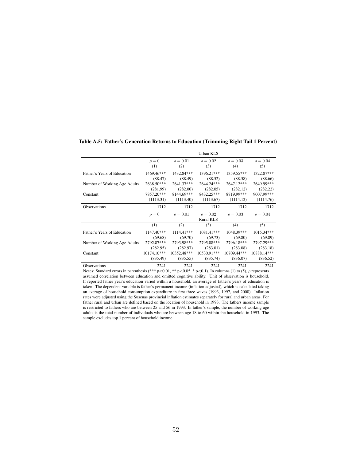Urban KLS  $\rho = 0$   $\rho = 0.01$   $\rho = 0.02$   $\rho = 0.03$   $\rho = 0.04$ <br>
(1) (2) (3) (4) (5) (1)  $(2)$   $(3)$   $(4)$   $(5)$ Father's Years of Education 1469.46\*\*\* 1432.84\*\*\* 1396.21\*\*\* 1359.55\*\*\* 1322.87\*\*\*<br>
(88.47) (88.49) (88.52) (88.58) (88.66)  $\begin{array}{cccc} (88.47) & (88.49) & (88.52) & (88.58) & (88.66) \\ 2638.50^{***} & 2641.37^{***} & 2644.24^{***} & 2647.12^{***} & 2649.99^{***} \end{array}$ Number of Working Age Adults 2638.50\*\*\* 2641.37\*\*\* 2644.24\*\*\* 2647.12\*\*\* 2649.99\*\*\* (281.99) (282.00) (282.05)  $\begin{array}{cccc} (281.99) & (282.00) & (282.05) & (282.12) & (282.22) \\ 57.20^{***} & 8144.69^{***} & 8432.25^{***} & 8719.99^{***} & 9007.99^{***} \end{array}$ Constant 7857.20\*\*\* 8144.69\*\*\* 8432.25\*\*\* 8719.99\*\*\* 9007.99\*\*\*<br>(1113.31) (1113.40) (1113.67) (1114.12) (1114.76)  $(1113.31)$   $(1113.40)$   $(1113.67)$   $(1114.12)$ Observations 1712 1712 1712 1712 1712 1712  $\rho = 0$   $\rho = 0.01$   $\rho = 0.02$   $\rho = 0.03$   $\rho = 0.04$ Rural KLS (1)  $(2)$   $(3)$   $(4)$   $(5)$ Father's Years of Education 1147.40\*\*\* 1114.41\*\*\* 1081.41\*\*\* 1048.39\*\*\* 1015.34\*\*\* (69.68) (69.89) (69.73) (69.89)  $\begin{array}{ccccccccc} (69.68) & (69.70) & (69.73) & (69.80) & (69.89) \\ 2792.87^{***} & 2793.98^{***} & 2795.08^{***} & 2796.18^{***} & 2797.29^{***} \end{array}$ Number of Working Age Adults 2792.87\*\*\* 2793.98\*\*\* 2795.08\*\*\* 2796.18\*\*\* 2797.29\*\*\*<br>(282.95) (282.97) (283.01) (283.08) (283.18)  $\begin{array}{cccc} (282.95) & (282.97) & (283.01) & (283.08) & (283.18) \\ 10174.10^{***} & 10352.48^{***} & 10530.91^{***} & 10709.44^{***} & 10888.14^{***} \end{array}$ Constant 10174.10\*\*\* 10352.48\*\*\* 10530.91\*\*\* 10709.44\*\*\*<br>(835.49) (835.55) (835.74) (836.07)  $(835.49)$   $(835.55)$   $(835.74)$   $(836.07)$   $(836.52)$ 

Table A.5: Father's Generation Returns to Education (Trimming Right Tail 1 Percent)

Notes: Standard errors in parenthesis (\*\*\*  $p<0.01$ , \*\*  $p<0.05$ , \*  $p<0.1$ ). In columns (1) to (5),  $\rho$  represents assumed correlation between education and omitted cognitive ability. Unit of observation is household. If reported father year's education varied within a household, an average of father's years of education is taken. The dependent variable is father's permanent income (inflation adjusted), which is calculated taking an average of household consumption expenditure in first three waves (1993, 1997, and 2000). Inflation rates were adjusted using the Susenas provincial inflation estimates separately for rural and urban areas. For father rural and urban are defined based on the location of household in 1993. The fathers income sample is restricted to fathers who are between 25 and 56 in 1993. In father's sample, the number of working age adults is the total number of individuals who are between age 18 to 60 within the household in 1993. The sample excludes top 1 percent of household income.

Observations 2241 2241 2241 2241 2241 2241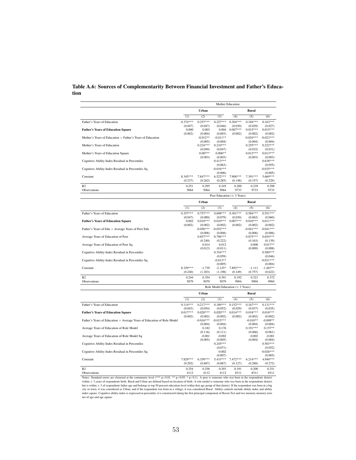#### Table A.6: Sources of Complementarity Between Financial Investment and Father's Education

|                                                                  | Mother Education |                                |             |            |             |             |  |
|------------------------------------------------------------------|------------------|--------------------------------|-------------|------------|-------------|-------------|--|
|                                                                  |                  | Urban                          |             |            | Rural       |             |  |
|                                                                  | (1)              | (2)                            | (3)         | (4)        | (5)         | (6)         |  |
| Father's Years of Education                                      | $0.374***$       | $0.257***$                     | $0.227***$  | $0.304***$ | $0.184***$  | $0.163***$  |  |
|                                                                  | (0.047)          | (0.047)                        | (0.046)     | (0.030)    | (0.029)     | (0.027)     |  |
| <b>Father's Years of Education Square</b>                        | 0.000            | 0.003                          | 0.004       | $0.007***$ | $0.015***$  | $0.015***$  |  |
|                                                                  | (0.002)          | (0.004)                        | (0.003)     | (0.002)    | (0.002)     | (0.002)     |  |
| Mother's Years of Education $\times$ Father's Years of Education |                  | $-0.012**$                     | $-0.011**$  |            | $-0.024***$ | $-0.023***$ |  |
|                                                                  |                  | (0.005)                        | (0.004)     |            | (0.004)     | (0.004)     |  |
| Mother's Years of Education                                      |                  | $0.224***$                     | $0.210***$  |            | $0.255***$  | $0.222***$  |  |
|                                                                  |                  | (0.049)                        | (0.047)     |            | (0.032)     | (0.031)     |  |
| Mother's Years of Education Square                               |                  | $0.007**$                      | $0.006**$   |            | $0.012***$  | $0.013***$  |  |
|                                                                  |                  | (0.003)                        | (0.003)     |            | (0.003)     | (0.003)     |  |
| Cognitive Ability Index Residual in Percentiles                  |                  |                                | $0.413***$  |            |             | $0.638***$  |  |
|                                                                  |                  |                                | (0.063)     |            |             | (0.055)     |  |
| Cognitive Ability Index Residual in Percentiles Sq               |                  |                                | $-0.016***$ |            |             | $-0.035***$ |  |
|                                                                  |                  |                                | (0.006)     |            |             | (0.005)     |  |
| Constant                                                         | 8.345***         | 7.847***                       | $6.522***$  | 7.908***   | 7.391***    | 5.669***    |  |
|                                                                  | (0.237)          | (0.262)                        | (0.285)     | (0.148)    | (0.157)     | (0.229)     |  |
| R <sub>2</sub>                                                   | 0.251            | 0.295                          | 0.345       | 0.200      | 0.239       | 0.298       |  |
| Observations                                                     | 5064             | 5064                           | 5064        | 9733       | 9733        | 9733        |  |
|                                                                  |                  | Peer Education $(\pm 3$ Years) |             |            |             |             |  |
|                                                                  |                  | Urban                          |             |            | Rural       |             |  |
|                                                                  | (1)              | (2)                            | (3)         | (4)        | (5)         | (6)         |  |
| Father's Years of Education                                      | $0.357***$       | $0.757***$                     | $0.698***$  | $0.301***$ | $0.584***$  | $0.551***$  |  |
|                                                                  | (0.047)          | (0.080)                        | (0.079)     | (0.030)    | (0.062)     | (0.060)     |  |
| <b>Father's Years of Education Square</b>                        | 0.002            | $0.010***$                     | $0.010***$  | $0.007***$ | $0.010***$  | $0.011***$  |  |
|                                                                  | (0.002)          | (0.002)                        | (0.002)     | (0.002)    | (0.002)     | (0.002)     |  |
| Father's Years of Edu $\times$ Average Years of Peer Edu         |                  | $-0.056***$                    | $-0.052***$ |            | $-0.041***$ | $-0.041***$ |  |
|                                                                  |                  | (0.008)                        | (0.008)     |            | (0.006)     | (0.006)     |  |
| Average Years of Education of Peer                               |                  | $0.857***$                     | $0.796***$  |            | $0.875***$  | $0.654***$  |  |
|                                                                  |                  | (0.240)                        | (0.222)     |            | (0.163)     | (0.139)     |  |
| Average Years of Education of Peer Sq                            |                  | 0.014                          | 0.012       |            | 0.008       | $0.017**$   |  |
|                                                                  |                  | (0.012)                        | (0.011)     |            | (0.009)     | (0.008)     |  |
| Cognitive Ability Index Residual in Percentiles                  |                  |                                | $0.354***$  |            |             | $0.580***$  |  |
|                                                                  |                  |                                | (0.059)     |            |             | (0.046)     |  |
| Cognitive Ability Index Residual in Percentiles Sq               |                  |                                | $-0.013**$  |            |             | $-0.031***$ |  |
|                                                                  |                  |                                | (0.005)     |            |             | (0.004)     |  |
| Constant                                                         | 8.329***         | $-1.739$                       | $-2.125*$   | 7.892 ***  | $-1.111$    | $-1.467**$  |  |
|                                                                  | (0.240)          | (1.283)                        | (1.198)     | (0.149)    | (0.757)     | (0.622)     |  |

|                                                                               | Role Model Education $(\pm 3$ Years) |             |             |            |            |             |
|-------------------------------------------------------------------------------|--------------------------------------|-------------|-------------|------------|------------|-------------|
|                                                                               | Urban                                |             |             | Rural      |            |             |
|                                                                               | (1)                                  | (2)         | (3)         | (4)        | (5)        | (6)         |
| Father's Years of Education                                                   | $0.114***$                           | $0.217***$  | $0.189***$  | $0.152***$ | $0.167***$ | $0.131***$  |
|                                                                               | (0.043)                              | (0.054)     | (0.052)     | (0.029)    | (0.037)    | (0.035)     |
| <b>Father's Years of Education Square</b>                                     | $0.017***$                           | $0.020***$  | $0.020***$  | $0.014***$ | $0.018***$ | $0.018***$  |
|                                                                               | (0.002)                              | (0.002)     | (0.002)     | (0.002)    | (0.002)    | (0.002)     |
| Father's Years of Education $\times$ Average Years of Education of Role Model |                                      | $-0.016***$ | $-0.015***$ |            | $-0.010**$ | $-0.009**$  |
|                                                                               |                                      | (0.004)     | (0.004)     |            | (0.004)    | (0.004)     |
| Average Years of Education of Role Model                                      |                                      | 0.182       | 0.176       |            | $0.191***$ | $0.157**$   |
|                                                                               |                                      | (0.116)     | (0.111)     |            | (0.066)    | (0.061)     |
| Average Years of Education of Role Model Sq                                   |                                      | $-0.001$    | $-0.002$    |            | $-0.002$   | $-0.001$    |
|                                                                               |                                      | (0.005)     | (0.005)     |            | (0.004)    | (0.004)     |
| Cognitive Ability Index Residual in Percentiles                               |                                      |             | $0.245***$  |            |            | $0.503***$  |
|                                                                               |                                      |             | (0.071)     |            |            | (0.052)     |
| Cognitive Ability Index Residual in Percentiles Sq                            |                                      |             | $-0.002$    |            |            | $-0.026***$ |
|                                                                               |                                      |             | (0.007)     |            |            | (0.005)     |
| Constant                                                                      | 7.829***                             | $6.359***$  | 5.433***    | $7.472***$ | $6.214***$ | 4.940***    |
|                                                                               | (0.202)                              | (0.687)     | (0.687)     | (0.127)    | (0.288)    | (0.272)     |
| R <sub>2</sub>                                                                | 0.254                                | 0.258       | 0.293       | 0.191      | 0.200      | 0.251       |
| <b>Observations</b>                                                           | 4112                                 | 4112        | 4112        | 8311       | 8311       | 8311        |

R2 0.354 0.354 0.391 0.192 0.321 0.372 Observations 5079 5079 5079 9904 9904 9904

Notes: Standard errors are clustered at the community level (\*\*\* p<0.01, \*\* p<0.05, \* p<0.1). A peer is someone who was born in the respondents district within  $\pm$  3 years of respondents birth. Rural and Urban are defined based on location of birth. A role model is someone who was born in the respondents district<br>but is within  $\pm$  3 of respondents father age and belongs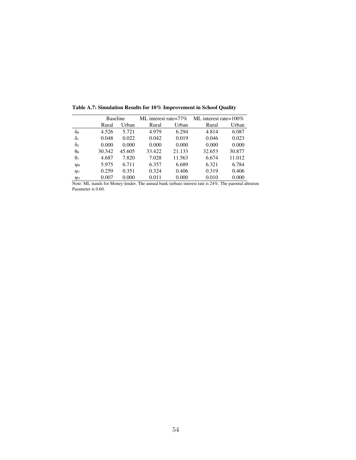|                       | <b>Baseline</b> |        | ML interest rate= $77\%$ |        | ML interest rate= $100\%$ |        |  |
|-----------------------|-----------------|--------|--------------------------|--------|---------------------------|--------|--|
|                       | Rural           | Urban  | Rural                    | Urban  | Rural                     | Urban  |  |
| $\delta$ o            | 4.526           | 5.721  | 4.979                    | 6.294  | 4.814                     | 6.087  |  |
| $\delta_1$            | 0.048           | 0.022  | 0.042                    | 0.019  | 0.046                     | 0.023  |  |
| $\delta$ <sub>2</sub> | 0.000           | 0.000  | 0.000                    | 0.000  | 0.000                     | 0.000  |  |
| $\theta$ o            | 30.342          | 45.605 | 33.422                   | 21.133 | 32.653                    | 30.877 |  |
| $\theta_1$            | 4.687           | 7.820  | 7.028                    | 11.563 | 6.674                     | 11.012 |  |
| Vo                    | 5.975           | 6.711  | 6.357                    | 6.689  | 6.321                     | 6.784  |  |
| $\Psi_1$              | 0.259           | 0.351  | 0.324                    | 0.406  | 0.319                     | 0.406  |  |
| $\mathsf{U}2$         | 0.007           | 0.000  | 0.011                    | 0.000  | 0.010                     | 0.000  |  |

**Table A.7: Simulation Results for 10% Improvement in School Quality** 

Note: ML stands for Money-lender. The annual bank (urban) interest rate is 24%. The parental altruism Parameter is 0.60.